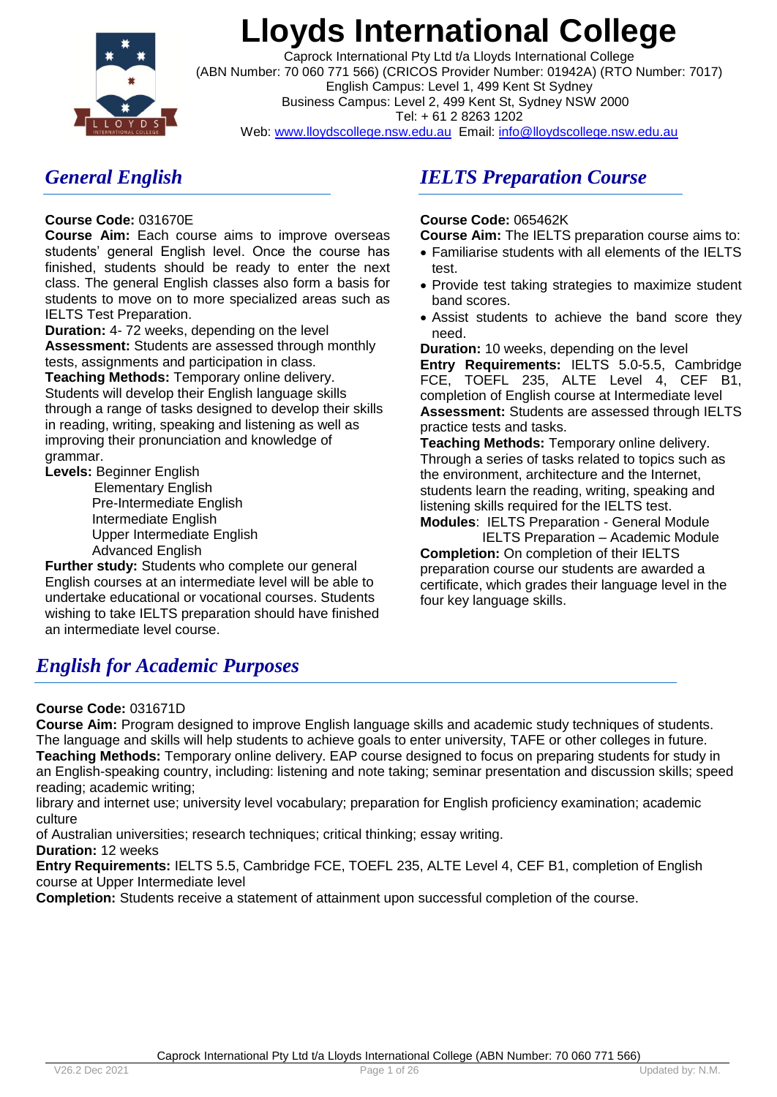

Caprock International Pty Ltd t/a Lloyds International College (ABN Number: 70 060 771 566) (CRICOS Provider Number: 01942A) (RTO Number: 7017) English Campus: Level 1, 499 Kent St Sydney Business Campus: Level 2, 499 Kent St, Sydney NSW 2000 Tel: + 61 2 8263 1202

Web: www.lloydscollege.nsw.edu.au Email: info@lloydscollege.nsw.edu.au

## *General English*

### **Course Code:** 031670E

**Course Aim:** Each course aims to improve overseas students' general English level. Once the course has finished, students should be ready to enter the next class. The general English classes also form a basis for students to move on to more specialized areas such as IELTS Test Preparation.

**Duration:** 4- 72 weeks, depending on the level **Assessment:** Students are assessed through monthly tests, assignments and participation in class. **Teaching Methods:** Temporary online delivery. Students will develop their English language skills through a range of tasks designed to develop their skills in reading, writing, speaking and listening as well as improving their pronunciation and knowledge of grammar.

**Levels:** Beginner English

 Elementary English Pre-Intermediate English Intermediate English Upper Intermediate English Advanced English

**Further study:** Students who complete our general English courses at an intermediate level will be able to undertake educational or vocational courses. Students wishing to take IELTS preparation should have finished an intermediate level course.

## *IELTS Preparation Course*

### **Course Code:** 065462K

**Course Aim:** The IELTS preparation course aims to:

- Familiarise students with all elements of the IELTS test.
- Provide test taking strategies to maximize student band scores.
- Assist students to achieve the band score they need.

**Duration:** 10 weeks, depending on the level **Entry Requirements:** IELTS 5.0-5.5, Cambridge FCE, TOEFL 235, ALTE Level 4, CEF B1, completion of English course at Intermediate level **Assessment:** Students are assessed through IELTS practice tests and tasks.

**Teaching Methods:** Temporary online delivery. Through a series of tasks related to topics such as the environment, architecture and the Internet, students learn the reading, writing, speaking and listening skills required for the IELTS test.

**Modules**: IELTS Preparation - General Module IELTS Preparation – Academic Module **Completion:** On completion of their IELTS preparation course our students are awarded a certificate, which grades their language level in the four key language skills.

## *English for Academic Purposes*

### **Course Code:** 031671D

**Course Aim:** Program designed to improve English language skills and academic study techniques of students. The language and skills will help students to achieve goals to enter university, TAFE or other colleges in future. **Teaching Methods:** Temporary online delivery. EAP course designed to focus on preparing students for study in an English-speaking country, including: listening and note taking; seminar presentation and discussion skills; speed reading; academic writing;

library and internet use; university level vocabulary; preparation for English proficiency examination; academic culture

of Australian universities; research techniques; critical thinking; essay writing.

## **Duration:** 12 weeks

**Entry Requirements:** IELTS 5.5, Cambridge FCE, TOEFL 235, ALTE Level 4, CEF B1, completion of English course at Upper Intermediate level

**Completion:** Students receive a statement of attainment upon successful completion of the course.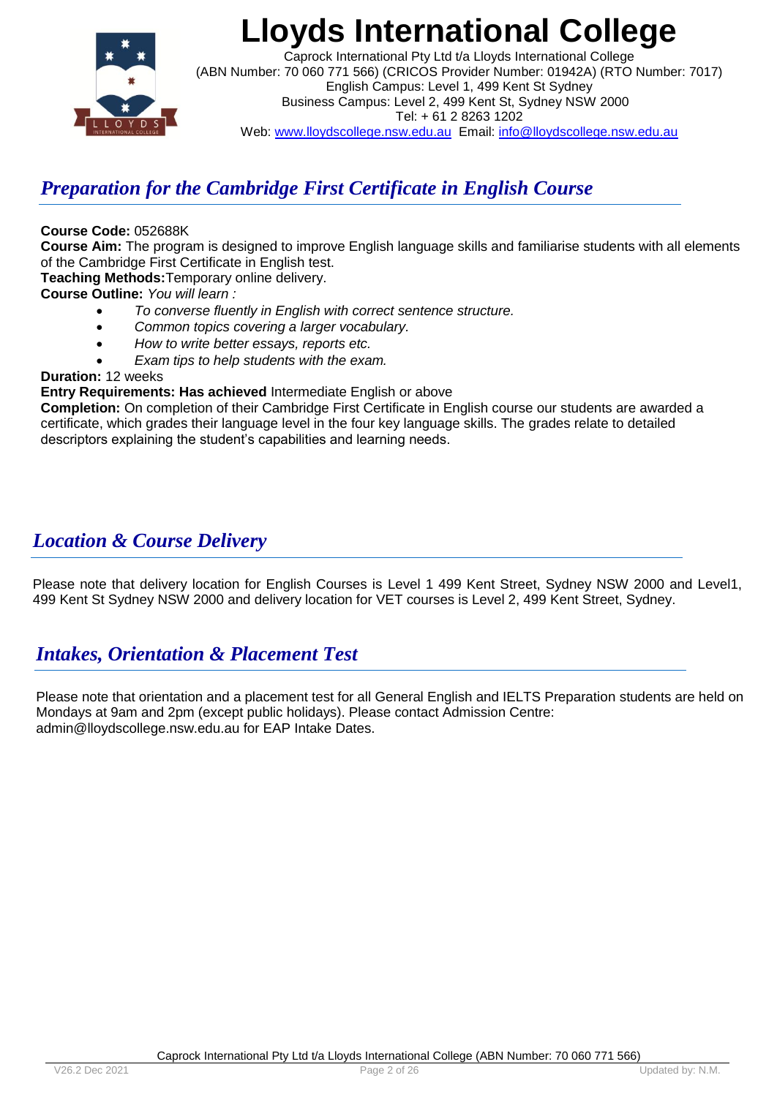

Caprock International Pty Ltd t/a Lloyds International College (ABN Number: 70 060 771 566) (CRICOS Provider Number: 01942A) (RTO Number: 7017) English Campus: Level 1, 499 Kent St Sydney Business Campus: Level 2, 499 Kent St, Sydney NSW 2000 Tel: + 61 2 8263 1202 Web: www.lloydscollege.nsw.edu.au Email: info@lloydscollege.nsw.edu.au

## *Preparation for the Cambridge First Certificate in English Course*

### **Course Code:** 052688K

**Course Aim:** The program is designed to improve English language skills and familiarise students with all elements of the Cambridge First Certificate in English test.

**Teaching Methods:**Temporary online delivery.

**Course Outline:** *You will learn :* 

- *To converse fluently in English with correct sentence structure.*
- *Common topics covering a larger vocabulary.*
- *How to write better essays, reports etc.*
- *Exam tips to help students with the exam.*

### **Duration:** 12 weeks

### **Entry Requirements: Has achieved** Intermediate English or above

**Completion:** On completion of their Cambridge First Certificate in English course our students are awarded a certificate, which grades their language level in the four key language skills. The grades relate to detailed descriptors explaining the student's capabilities and learning needs.

## *Location & Course Delivery*

Please note that delivery location for English Courses is Level 1 499 Kent Street, Sydney NSW 2000 and Level1, 499 Kent St Sydney NSW 2000 and delivery location for VET courses is Level 2, 499 Kent Street, Sydney.

## *Intakes, Orientation & Placement Test*

Please note that orientation and a placement test for all General English and IELTS Preparation students are held on Mondays at 9am and 2pm (except public holidays). Please contact Admission Centre: [admin@lloydscollege.nsw.edu.au](mailto:admin@lloydscollege.nsw.edu.au) for EAP Intake Dates.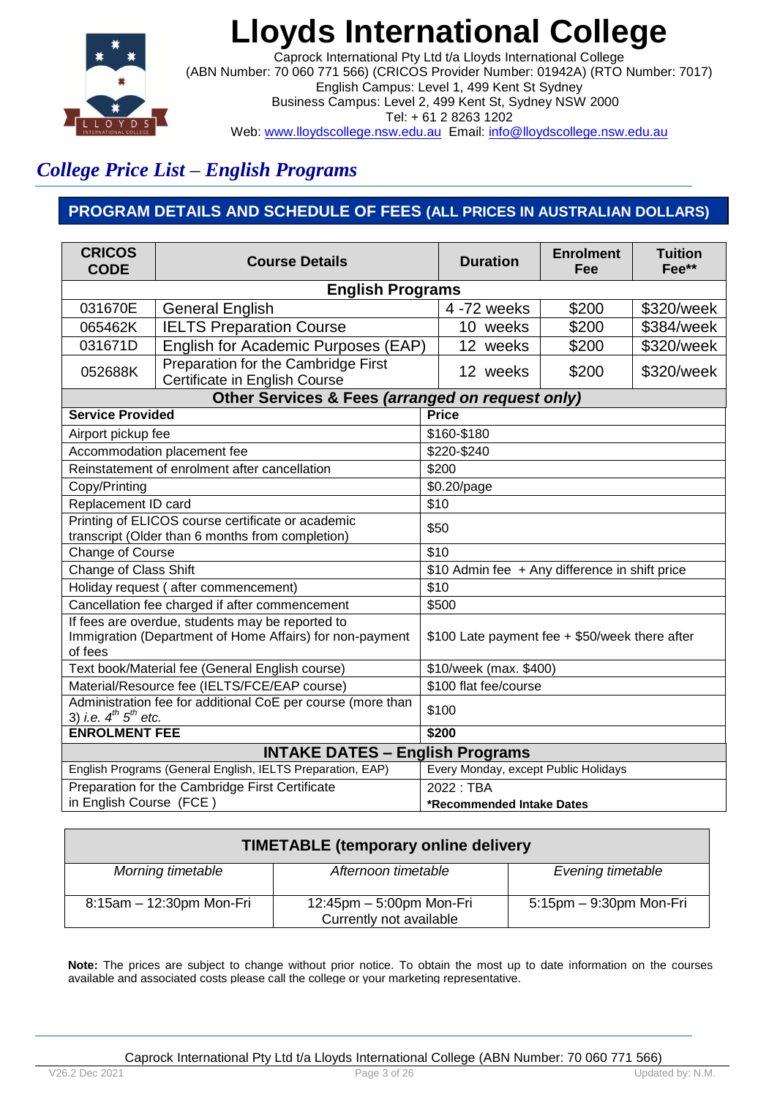

Caprock International Pty Ltd t/a Lloyds International College (ABN Number: 70 060 771 566) (CRICOS Provider Number: 01942A) (RTO Number: 7017) English Campus: Level 1, 499 Kent St Sydney Business Campus: Level 2, 499 Kent St, Sydney NSW 2000 Tel: + 61 2 8263 1202 Web: www.lloydscollege.nsw.edu.au Email: info@lloydscollege.nsw.edu.au

## *College Price List – English Programs*

## **PROGRAM DETAILS AND SCHEDULE OF FEES (ALL PRICES IN AUSTRALIAN DOLLARS)**

| <b>CRICOS</b><br><b>CODE</b>                                                                                            | <b>Course Details</b>                                                |                                      | <b>Duration</b>                                | <b>Enrolment</b><br>Fee | <b>Tuition</b><br>Fee** |
|-------------------------------------------------------------------------------------------------------------------------|----------------------------------------------------------------------|--------------------------------------|------------------------------------------------|-------------------------|-------------------------|
|                                                                                                                         | <b>English Programs</b>                                              |                                      |                                                |                         |                         |
| 031670E                                                                                                                 | <b>General English</b>                                               |                                      | 4 -72 weeks                                    | \$200                   | \$320/week              |
| 065462K                                                                                                                 | <b>IELTS Preparation Course</b>                                      |                                      | 10 weeks                                       | \$200                   | \$384/week              |
| 031671D                                                                                                                 | English for Academic Purposes (EAP)                                  |                                      | 12 weeks                                       | \$200                   | \$320/week              |
| 052688K                                                                                                                 | Preparation for the Cambridge First<br>Certificate in English Course |                                      | 12 weeks                                       | \$200                   | \$320/week              |
|                                                                                                                         | Other Services & Fees (arranged on request only)                     |                                      |                                                |                         |                         |
| <b>Service Provided</b>                                                                                                 |                                                                      |                                      | <b>Price</b>                                   |                         |                         |
| Airport pickup fee                                                                                                      |                                                                      |                                      | \$160-\$180                                    |                         |                         |
|                                                                                                                         | Accommodation placement fee                                          |                                      | \$220-\$240                                    |                         |                         |
|                                                                                                                         | Reinstatement of enrolment after cancellation                        |                                      | \$200                                          |                         |                         |
| Copy/Printing                                                                                                           |                                                                      |                                      | \$0.20/page                                    |                         |                         |
| Replacement ID card                                                                                                     |                                                                      | \$10                                 |                                                |                         |                         |
| Printing of ELICOS course certificate or academic<br>transcript (Older than 6 months from completion)                   |                                                                      | \$50                                 |                                                |                         |                         |
| Change of Course                                                                                                        |                                                                      | \$10                                 |                                                |                         |                         |
| Change of Class Shift                                                                                                   |                                                                      |                                      | \$10 Admin fee + Any difference in shift price |                         |                         |
|                                                                                                                         | Holiday request (after commencement)                                 | \$10                                 |                                                |                         |                         |
|                                                                                                                         | Cancellation fee charged if after commencement                       |                                      | \$500                                          |                         |                         |
| If fees are overdue, students may be reported to<br>Immigration (Department of Home Affairs) for non-payment<br>of fees |                                                                      |                                      | \$100 Late payment fee + \$50/week there after |                         |                         |
|                                                                                                                         | Text book/Material fee (General English course)                      | \$10/week (max. \$400)               |                                                |                         |                         |
|                                                                                                                         | Material/Resource fee (IELTS/FCE/EAP course)                         | \$100 flat fee/course                |                                                |                         |                         |
| Administration fee for additional CoE per course (more than<br>3) i.e. $4^{th}$ $5^{th}$ etc.                           |                                                                      |                                      | \$100                                          |                         |                         |
| <b>ENROLMENT FEE</b>                                                                                                    |                                                                      |                                      | \$200                                          |                         |                         |
|                                                                                                                         | <b>INTAKE DATES - English Programs</b>                               |                                      |                                                |                         |                         |
|                                                                                                                         | English Programs (General English, IELTS Preparation, EAP)           | Every Monday, except Public Holidays |                                                |                         |                         |
|                                                                                                                         | Preparation for the Cambridge First Certificate                      | 2022: TBA                            |                                                |                         |                         |
| in English Course (FCE)                                                                                                 |                                                                      |                                      | *Recommended Intake Dates                      |                         |                         |

| <b>TIMETABLE (temporary online delivery</b> |                                                     |                         |  |  |
|---------------------------------------------|-----------------------------------------------------|-------------------------|--|--|
| Morning timetable                           | Afternoon timetable                                 | Evening timetable       |  |  |
| 8:15am - 12:30pm Mon-Fri                    | 12:45pm - 5:00pm Mon-Fri<br>Currently not available | 5:15pm - 9:30pm Mon-Fri |  |  |

**Note:** The prices are subject to change without prior notice. To obtain the most up to date information on the courses available and associated costs please call the college or your marketing representative.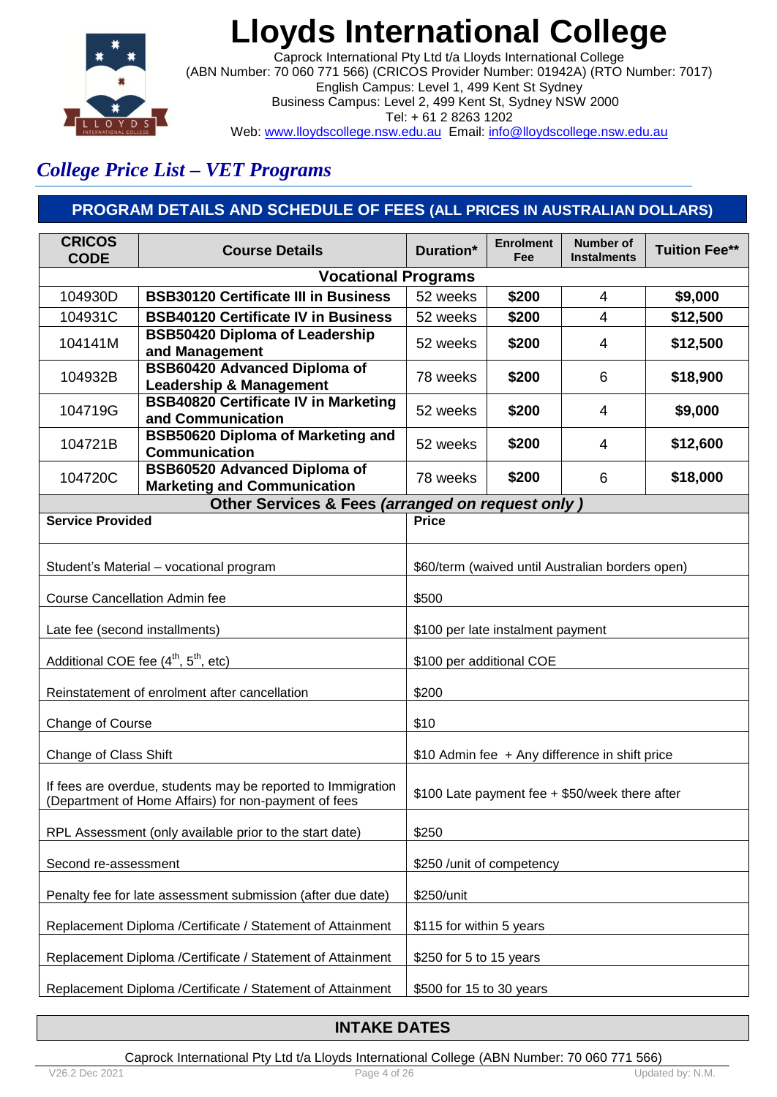

Caprock International Pty Ltd t/a Lloyds International College (ABN Number: 70 060 771 566) (CRICOS Provider Number: 01942A) (RTO Number: 7017) English Campus: Level 1, 499 Kent St Sydney Business Campus: Level 2, 499 Kent St, Sydney NSW 2000 Tel: + 61 2 8263 1202 Web: www.lloydscollege.nsw.edu.au Email: info@lloydscollege.nsw.edu.au

## *College Price List – VET Programs*

## **PROGRAM DETAILS AND SCHEDULE OF FEES (ALL PRICES IN AUSTRALIAN DOLLARS)**

| <b>CRICOS</b><br><b>CODE</b>                                | <b>Course Details</b>                                                                                                | Duration*                                      | <b>Enrolment</b><br>Fee | <b>Number of</b><br><b>Instalments</b>           | <b>Tuition Fee**</b> |
|-------------------------------------------------------------|----------------------------------------------------------------------------------------------------------------------|------------------------------------------------|-------------------------|--------------------------------------------------|----------------------|
|                                                             | <b>Vocational Programs</b>                                                                                           |                                                |                         |                                                  |                      |
| 104930D                                                     | <b>BSB30120 Certificate III in Business</b>                                                                          | 52 weeks                                       | \$200                   | 4                                                | \$9,000              |
| 104931C                                                     | <b>BSB40120 Certificate IV in Business</b>                                                                           | 52 weeks                                       | \$200                   | $\overline{\mathcal{A}}$                         | \$12,500             |
| 104141M                                                     | <b>BSB50420 Diploma of Leadership</b><br>and Management                                                              | 52 weeks                                       | \$200                   | 4                                                | \$12,500             |
| 104932B                                                     | <b>BSB60420 Advanced Diploma of</b><br><b>Leadership &amp; Management</b>                                            | 78 weeks                                       | \$200                   | 6                                                | \$18,900             |
| 104719G                                                     | <b>BSB40820 Certificate IV in Marketing</b><br>and Communication                                                     | 52 weeks                                       | \$200                   | 4                                                | \$9,000              |
| 104721B                                                     | <b>BSB50620 Diploma of Marketing and</b><br><b>Communication</b>                                                     | 52 weeks                                       | \$200                   | 4                                                | \$12,600             |
| 104720C                                                     | <b>BSB60520 Advanced Diploma of</b><br><b>Marketing and Communication</b>                                            | 78 weeks                                       | \$200                   | 6                                                | \$18,000             |
|                                                             | Other Services & Fees (arranged on request only)                                                                     |                                                |                         |                                                  |                      |
| <b>Service Provided</b>                                     |                                                                                                                      | <b>Price</b>                                   |                         |                                                  |                      |
|                                                             | Student's Material - vocational program                                                                              |                                                |                         | \$60/term (waived until Australian borders open) |                      |
| Course Cancellation Admin fee                               |                                                                                                                      | \$500                                          |                         |                                                  |                      |
| Late fee (second installments)                              |                                                                                                                      | \$100 per late instalment payment              |                         |                                                  |                      |
|                                                             | Additional COE fee (4 <sup>th</sup> , 5 <sup>th</sup> , etc)                                                         | \$100 per additional COE                       |                         |                                                  |                      |
|                                                             | Reinstatement of enrolment after cancellation                                                                        | \$200                                          |                         |                                                  |                      |
| Change of Course                                            |                                                                                                                      | \$10                                           |                         |                                                  |                      |
| Change of Class Shift                                       |                                                                                                                      |                                                |                         | \$10 Admin fee + Any difference in shift price   |                      |
|                                                             | If fees are overdue, students may be reported to Immigration<br>(Department of Home Affairs) for non-payment of fees | \$100 Late payment fee + \$50/week there after |                         |                                                  |                      |
|                                                             | RPL Assessment (only available prior to the start date)                                                              | \$250                                          |                         |                                                  |                      |
| Second re-assessment                                        | \$250 / unit of competency                                                                                           |                                                |                         |                                                  |                      |
| Penalty fee for late assessment submission (after due date) | \$250/unit                                                                                                           |                                                |                         |                                                  |                      |
| Replacement Diploma /Certificate / Statement of Attainment  | \$115 for within 5 years                                                                                             |                                                |                         |                                                  |                      |
|                                                             | Replacement Diploma /Certificate / Statement of Attainment                                                           | \$250 for 5 to 15 years                        |                         |                                                  |                      |
|                                                             | Replacement Diploma /Certificate / Statement of Attainment                                                           | \$500 for 15 to 30 years                       |                         |                                                  |                      |

### **INTAKE DATES**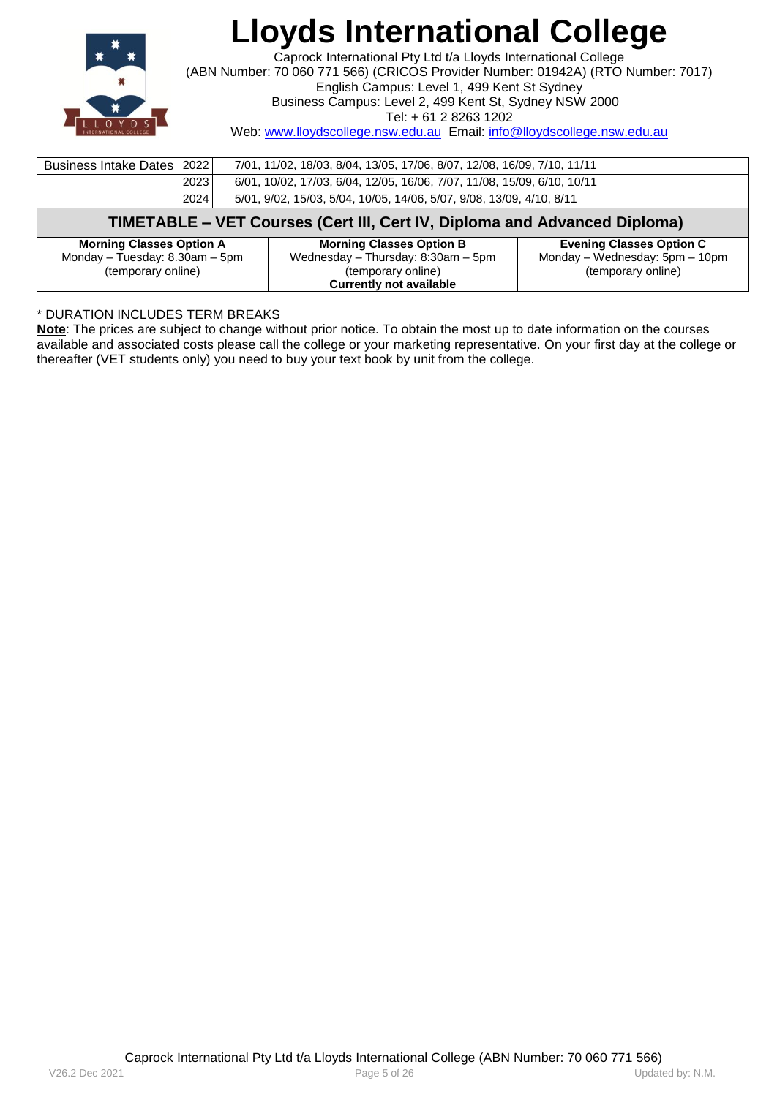

Caprock International Pty Ltd t/a Lloyds International College (ABN Number: 70 060 771 566) (CRICOS Provider Number: 01942A) (RTO Number: 7017) English Campus: Level 1, 499 Kent St Sydney

Business Campus: Level 2, 499 Kent St, Sydney NSW 2000

Tel: + 61 2 8263 1202

Web: www.lloydscollege.nsw.edu.au Email: info@lloydscollege.nsw.edu.au

| Business Intake Dates   2022                                              |      | 7/01, 11/02, 18/03, 8/04, 13/05, 17/06, 8/07, 12/08, 16/09, 7/10, 11/11 |                                                      |  |  |
|---------------------------------------------------------------------------|------|-------------------------------------------------------------------------|------------------------------------------------------|--|--|
|                                                                           | 2023 | 6/01, 10/02, 17/03, 6/04, 12/05, 16/06, 7/07, 11/08, 15/09, 6/10, 10/11 |                                                      |  |  |
|                                                                           | 2024 | 5/01, 9/02, 15/03, 5/04, 10/05, 14/06, 5/07, 9/08, 13/09, 4/10, 8/11    |                                                      |  |  |
| TIMETABLE – VET Courses (Cert III, Cert IV, Diploma and Advanced Diploma) |      |                                                                         |                                                      |  |  |
|                                                                           |      |                                                                         |                                                      |  |  |
| <b>Morning Classes Option A</b>                                           |      | <b>Morning Classes Option B</b>                                         | <b>Evening Classes Option C</b>                      |  |  |
| Monday - Tuesday: 8.30am - 5pm<br>(temporary online)                      |      | Wednesday - Thursday: 8:30am - 5pm<br>(temporary online)                | Monday - Wednesday: 5pm - 10pm<br>(temporary online) |  |  |

### \* DURATION INCLUDES TERM BREAKS

**Note**: The prices are subject to change without prior notice. To obtain the most up to date information on the courses available and associated costs please call the college or your marketing representative. On your first day at the college or thereafter (VET students only) you need to buy your text book by unit from the college.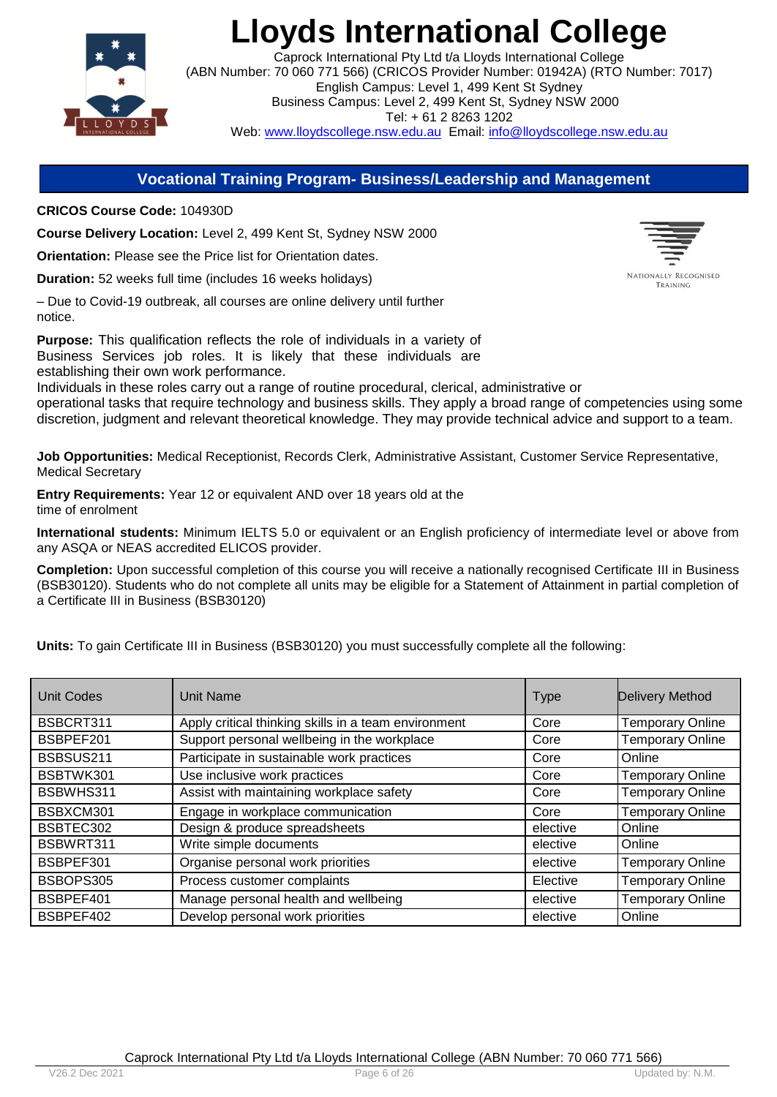

Caprock International Pty Ltd t/a Lloyds International College (ABN Number: 70 060 771 566) (CRICOS Provider Number: 01942A) (RTO Number: 7017) English Campus: Level 1, 499 Kent St Sydney Business Campus: Level 2, 499 Kent St, Sydney NSW 2000 Tel: + 61 2 8263 1202 Web: www.lloydscollege.nsw.edu.au Email: info@lloydscollege.nsw.edu.au

### **Vocational Training Program- Business/Leadership and Management**

**CRICOS Course Code:** 104930D

**Course Delivery Location:** Level 2, 499 Kent St, Sydney NSW 2000

**Orientation:** Please see the Price list for Orientation dates.

**Duration:** 52 weeks full time (includes 16 weeks holidays)

– Due to Covid-19 outbreak, all courses are online delivery until further notice.

**Purpose:** This qualification reflects the role of individuals in a variety of Business Services job roles. It is likely that these individuals are establishing their own work performance.

Individuals in these roles carry out a range of routine procedural, clerical, administrative or operational tasks that require technology and business skills. They apply a broad range of competencies using some discretion, judgment and relevant theoretical knowledge. They may provide technical advice and support to a team.

**Job Opportunities:** Medical Receptionist, Records Clerk, Administrative Assistant, Customer Service Representative, Medical Secretary

**Entry Requirements:** Year 12 or equivalent AND over 18 years old at the time of enrolment

**International students:** Minimum IELTS 5.0 or equivalent or an English proficiency of intermediate level or above from any ASQA or NEAS accredited ELICOS provider.

**Completion:** Upon successful completion of this course you will receive a nationally recognised Certificate III in Business (BSB30120). Students who do not complete all units may be eligible for a Statement of Attainment in partial completion of a Certificate III in Business (BSB30120)

**Units:** To gain Certificate III in Business (BSB30120) you must successfully complete all the following:

| <b>Unit Codes</b> | Unit Name                                            | <b>Type</b> | <b>Delivery Method</b>  |
|-------------------|------------------------------------------------------|-------------|-------------------------|
| BSBCRT311         | Apply critical thinking skills in a team environment | Core        | <b>Temporary Online</b> |
| BSBPEF201         | Support personal wellbeing in the workplace          | Core        | <b>Temporary Online</b> |
| BSBSUS211         | Participate in sustainable work practices            | Core        | Online                  |
| BSBTWK301         | Use inclusive work practices                         | Core        | <b>Temporary Online</b> |
| BSBWHS311         | Assist with maintaining workplace safety             | Core        | <b>Temporary Online</b> |
| BSBXCM301         | Engage in workplace communication                    | Core        | <b>Temporary Online</b> |
| BSBTEC302         | Design & produce spreadsheets                        | elective    | Online                  |
| BSBWRT311         | Write simple documents                               | elective    | Online                  |
| BSBPEF301         | Organise personal work priorities                    | elective    | <b>Temporary Online</b> |
| BSBOPS305         | Process customer complaints                          | Elective    | <b>Temporary Online</b> |
| BSBPEF401         | Manage personal health and wellbeing                 | elective    | <b>Temporary Online</b> |
| BSBPEF402         | Develop personal work priorities                     | elective    | Online                  |

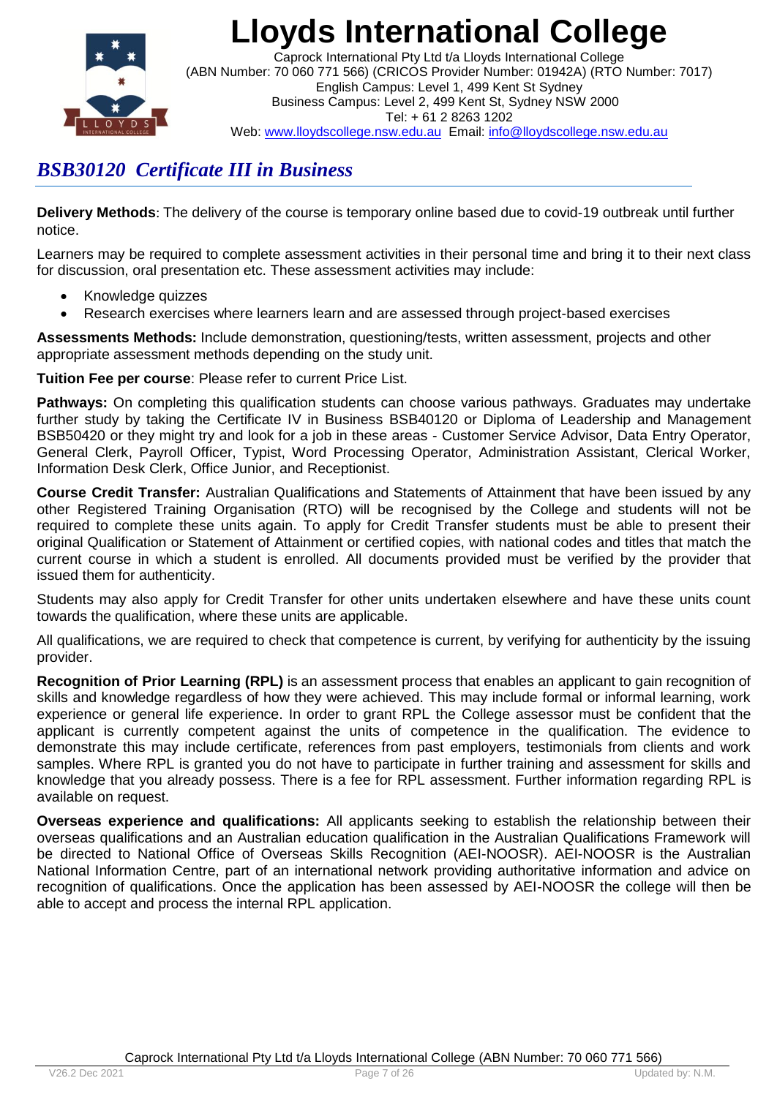

Caprock International Pty Ltd t/a Lloyds International College (ABN Number: 70 060 771 566) (CRICOS Provider Number: 01942A) (RTO Number: 7017) English Campus: Level 1, 499 Kent St Sydney Business Campus: Level 2, 499 Kent St, Sydney NSW 2000 Tel: + 61 2 8263 1202 Web: www.lloydscollege.nsw.edu.au Email: info@lloydscollege.nsw.edu.au

## *BSB30120 Certificate III in Business*

**Delivery Methods**: The delivery of the course is temporary online based due to covid-19 outbreak until further notice.

Learners may be required to complete assessment activities in their personal time and bring it to their next class for discussion, oral presentation etc. These assessment activities may include:

- Knowledge quizzes
- Research exercises where learners learn and are assessed through project-based exercises

**Assessments Methods:** Include demonstration, questioning/tests, written assessment, projects and other appropriate assessment methods depending on the study unit.

**Tuition Fee per course**: Please refer to current Price List.

**Pathways:** On completing this qualification students can choose various pathways. Graduates may undertake further study by taking the Certificate IV in Business BSB40120 or Diploma of Leadership and Management BSB50420 or they might try and look for a job in these areas - Customer Service Advisor, Data Entry Operator, General Clerk, Payroll Officer, Typist, Word Processing Operator, Administration Assistant, Clerical Worker, Information Desk Clerk, Office Junior, and Receptionist.

**Course Credit Transfer:** Australian Qualifications and Statements of Attainment that have been issued by any other Registered Training Organisation (RTO) will be recognised by the College and students will not be required to complete these units again. To apply for Credit Transfer students must be able to present their original Qualification or Statement of Attainment or certified copies, with national codes and titles that match the current course in which a student is enrolled. All documents provided must be verified by the provider that issued them for authenticity.

Students may also apply for Credit Transfer for other units undertaken elsewhere and have these units count towards the qualification, where these units are applicable.

All qualifications, we are required to check that competence is current, by verifying for authenticity by the issuing provider.

**Recognition of Prior Learning (RPL)** is an assessment process that enables an applicant to gain recognition of skills and knowledge regardless of how they were achieved. This may include formal or informal learning, work experience or general life experience. In order to grant RPL the College assessor must be confident that the applicant is currently competent against the units of competence in the qualification. The evidence to demonstrate this may include certificate, references from past employers, testimonials from clients and work samples. Where RPL is granted you do not have to participate in further training and assessment for skills and knowledge that you already possess. There is a fee for RPL assessment. Further information regarding RPL is available on request.

**Overseas experience and qualifications:** All applicants seeking to establish the relationship between their overseas qualifications and an Australian education qualification in the Australian Qualifications Framework will be directed to National Office of Overseas Skills Recognition (AEI-NOOSR). AEI-NOOSR is the Australian National Information Centre, part of an international network providing authoritative information and advice on recognition of qualifications. Once the application has been assessed by AEI-NOOSR the college will then be able to accept and process the internal RPL application.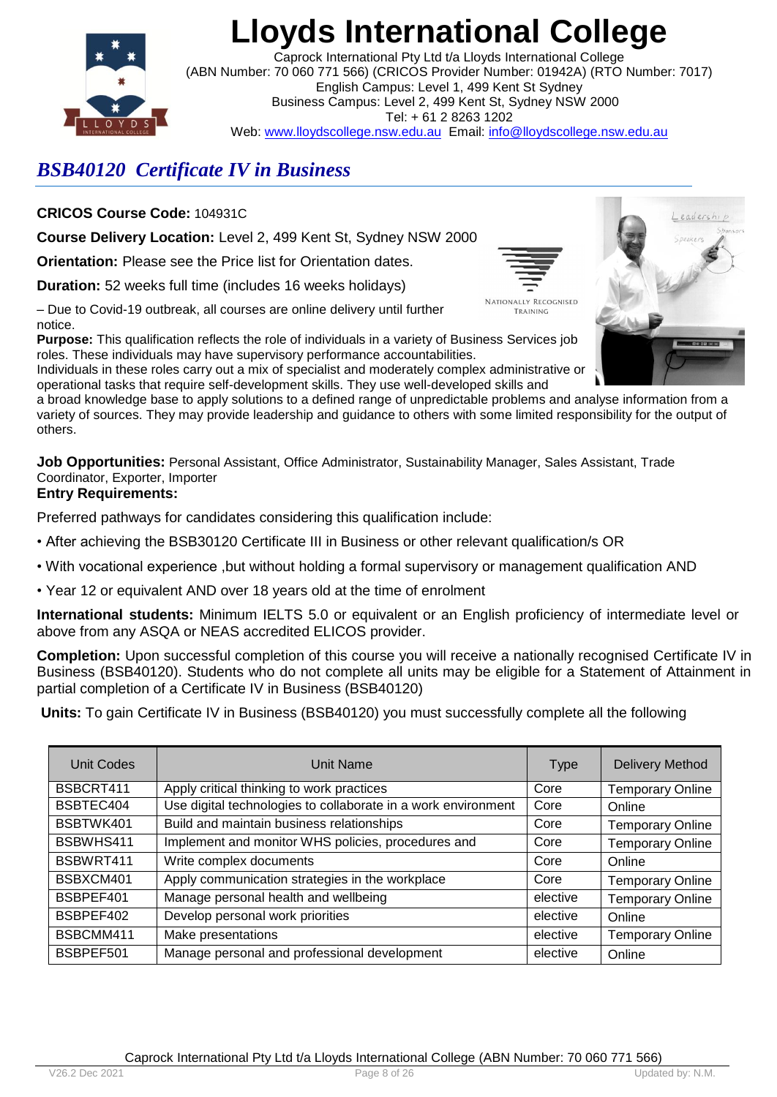

Caprock International Pty Ltd t/a Lloyds International College (ABN Number: 70 060 771 566) (CRICOS Provider Number: 01942A) (RTO Number: 7017) English Campus: Level 1, 499 Kent St Sydney Business Campus: Level 2, 499 Kent St, Sydney NSW 2000 Tel: + 61 2 8263 1202 Web: www.lloydscollege.nsw.edu.au Email: info@lloydscollege.nsw.edu.au

## *BSB40120 Certificate IV in Business*

**CRICOS Course Code:** 104931C

**Course Delivery Location:** Level 2, 499 Kent St, Sydney NSW 2000

**Orientation:** Please see the Price list for Orientation dates.

**Duration:** 52 weeks full time (includes 16 weeks holidays)

– Due to Covid-19 outbreak, all courses are online delivery until further notice.

**Purpose:** This qualification reflects the role of individuals in a variety of Business Services job roles. These individuals may have supervisory performance accountabilities.

Individuals in these roles carry out a mix of specialist and moderately complex administrative or operational tasks that require self-development skills. They use well-developed skills and

a broad knowledge base to apply solutions to a defined range of unpredictable problems and analyse information from a variety of sources. They may provide leadership and guidance to others with some limited responsibility for the output of others.

**Job Opportunities:** Personal Assistant, Office Administrator, Sustainability Manager, Sales Assistant, Trade Coordinator, Exporter, Importer **Entry Requirements:**

Preferred pathways for candidates considering this qualification include:

- After achieving the BSB30120 Certificate III in Business or other relevant qualification/s OR
- With vocational experience ,but without holding a formal supervisory or management qualification AND
- Year 12 or equivalent AND over 18 years old at the time of enrolment

**International students:** Minimum IELTS 5.0 or equivalent or an English proficiency of intermediate level or above from any ASQA or NEAS accredited ELICOS provider.

**Completion:** Upon successful completion of this course you will receive a nationally recognised Certificate IV in Business (BSB40120). Students who do not complete all units may be eligible for a Statement of Attainment in partial completion of a Certificate IV in Business (BSB40120)

**Units:** To gain Certificate IV in Business (BSB40120) you must successfully complete all the following

| Unit Codes | <b>Unit Name</b>                                              | <b>Type</b> | <b>Delivery Method</b>  |
|------------|---------------------------------------------------------------|-------------|-------------------------|
| BSBCRT411  | Apply critical thinking to work practices                     | Core        | <b>Temporary Online</b> |
| BSBTEC404  | Use digital technologies to collaborate in a work environment | Core        | Online                  |
| BSBTWK401  | Build and maintain business relationships                     | Core        | <b>Temporary Online</b> |
| BSBWHS411  | Implement and monitor WHS policies, procedures and            | Core        | <b>Temporary Online</b> |
| BSBWRT411  | Write complex documents                                       | Core        | Online                  |
| BSBXCM401  | Apply communication strategies in the workplace               | Core        | <b>Temporary Online</b> |
| BSBPEF401  | Manage personal health and wellbeing                          | elective    | <b>Temporary Online</b> |
| BSBPEF402  | Develop personal work priorities                              | elective    | Online                  |
| BSBCMM411  | Make presentations                                            | elective    | <b>Temporary Online</b> |
| BSBPEF501  | Manage personal and professional development                  | elective    | Online                  |



TRAINING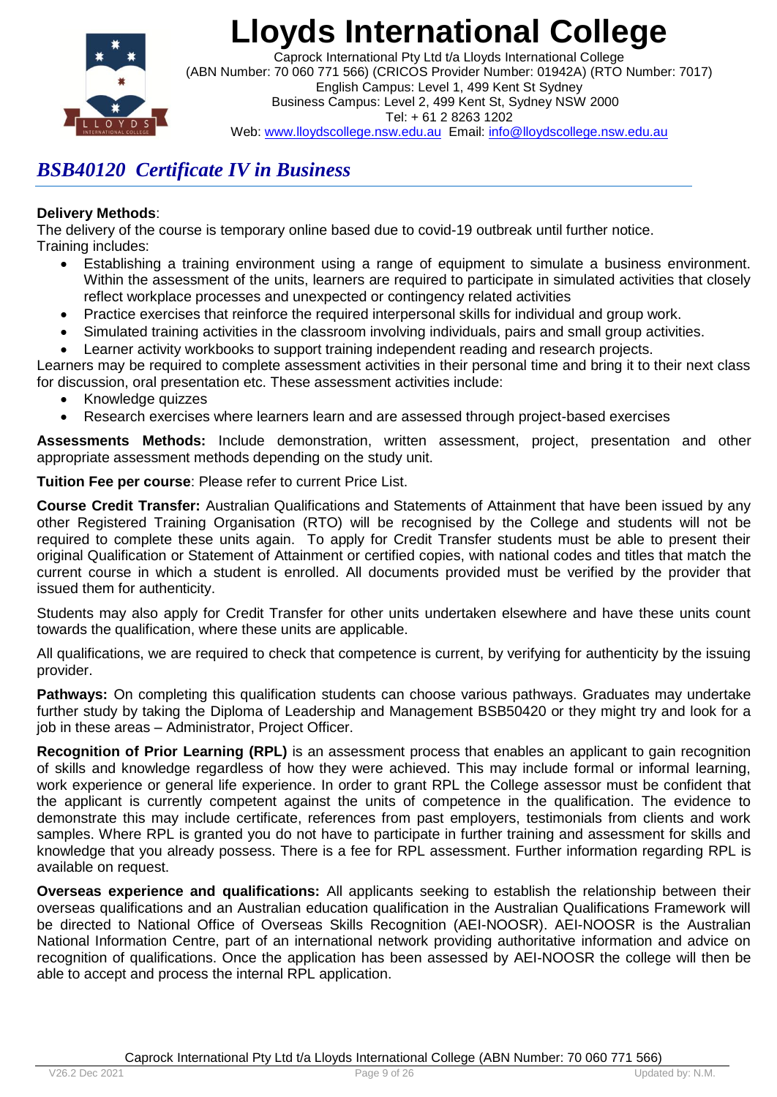

Caprock International Pty Ltd t/a Lloyds International College (ABN Number: 70 060 771 566) (CRICOS Provider Number: 01942A) (RTO Number: 7017) English Campus: Level 1, 499 Kent St Sydney Business Campus: Level 2, 499 Kent St, Sydney NSW 2000 Tel: + 61 2 8263 1202 Web: www.lloydscollege.nsw.edu.au Email: info@lloydscollege.nsw.edu.au

## *BSB40120 Certificate IV in Business*

### **Delivery Methods**:

The delivery of the course is temporary online based due to covid-19 outbreak until further notice. Training includes:

- Establishing a training environment using a range of equipment to simulate a business environment. Within the assessment of the units, learners are required to participate in simulated activities that closely reflect workplace processes and unexpected or contingency related activities
- Practice exercises that reinforce the required interpersonal skills for individual and group work.
- Simulated training activities in the classroom involving individuals, pairs and small group activities.
- Learner activity workbooks to support training independent reading and research projects.

Learners may be required to complete assessment activities in their personal time and bring it to their next class for discussion, oral presentation etc. These assessment activities include:

- Knowledge quizzes
- Research exercises where learners learn and are assessed through project-based exercises

**Assessments Methods:** Include demonstration, written assessment, project, presentation and other appropriate assessment methods depending on the study unit.

**Tuition Fee per course**: Please refer to current Price List.

**Course Credit Transfer:** Australian Qualifications and Statements of Attainment that have been issued by any other Registered Training Organisation (RTO) will be recognised by the College and students will not be required to complete these units again. To apply for Credit Transfer students must be able to present their original Qualification or Statement of Attainment or certified copies, with national codes and titles that match the current course in which a student is enrolled. All documents provided must be verified by the provider that issued them for authenticity.

Students may also apply for Credit Transfer for other units undertaken elsewhere and have these units count towards the qualification, where these units are applicable.

All qualifications, we are required to check that competence is current, by verifying for authenticity by the issuing provider.

**Pathways:** On completing this qualification students can choose various pathways. Graduates may undertake further study by taking the Diploma of Leadership and Management BSB50420 or they might try and look for a job in these areas – Administrator, Project Officer.

**Recognition of Prior Learning (RPL)** is an assessment process that enables an applicant to gain recognition of skills and knowledge regardless of how they were achieved. This may include formal or informal learning, work experience or general life experience. In order to grant RPL the College assessor must be confident that the applicant is currently competent against the units of competence in the qualification. The evidence to demonstrate this may include certificate, references from past employers, testimonials from clients and work samples. Where RPL is granted you do not have to participate in further training and assessment for skills and knowledge that you already possess. There is a fee for RPL assessment. Further information regarding RPL is available on request.

**Overseas experience and qualifications:** All applicants seeking to establish the relationship between their overseas qualifications and an Australian education qualification in the Australian Qualifications Framework will be directed to National Office of Overseas Skills Recognition (AEI-NOOSR). AEI-NOOSR is the Australian National Information Centre, part of an international network providing authoritative information and advice on recognition of qualifications. Once the application has been assessed by AEI-NOOSR the college will then be able to accept and process the internal RPL application.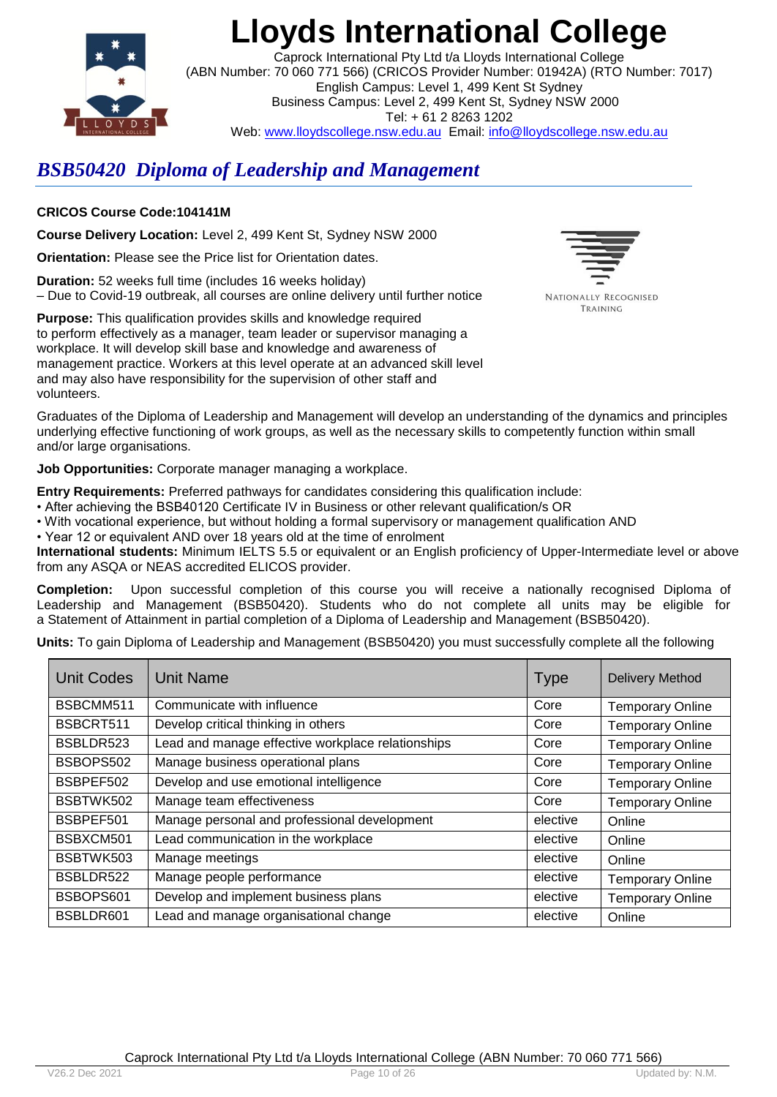

Caprock International Pty Ltd t/a Lloyds International College (ABN Number: 70 060 771 566) (CRICOS Provider Number: 01942A) (RTO Number: 7017) English Campus: Level 1, 499 Kent St Sydney Business Campus: Level 2, 499 Kent St, Sydney NSW 2000 Tel: + 61 2 8263 1202 Web: www.lloydscollege.nsw.edu.au Email: info@lloydscollege.nsw.edu.au

# *BSB50420 Diploma of Leadership and Management*

### **CRICOS Course Code:104141M**

**Course Delivery Location:** Level 2, 499 Kent St, Sydney NSW 2000

**Orientation:** Please see the Price list for Orientation dates.

**Duration:** 52 weeks full time (includes 16 weeks holiday) – Due to Covid-19 outbreak, all courses are online delivery until further notice

NATIONALLY RECOGNISED TRAINING

**Purpose:** This qualification provides skills and knowledge required to perform effectively as a manager, team leader or supervisor managing a workplace. It will develop skill base and knowledge and awareness of management practice. Workers at this level operate at an advanced skill level and may also have responsibility for the supervision of other staff and volunteers.

Graduates of the Diploma of Leadership and Management will develop an understanding of the dynamics and principles underlying effective functioning of work groups, as well as the necessary skills to competently function within small and/or large organisations.

**Job Opportunities:** Corporate manager managing a workplace.

**Entry Requirements:** Preferred pathways for candidates considering this qualification include:

- After achieving the BSB40120 Certificate IV in Business or other relevant qualification/s OR
- With vocational experience, but without holding a formal supervisory or management qualification AND
- Year 12 or equivalent AND over 18 years old at the time of enrolment

**International students:** Minimum IELTS 5.5 or equivalent or an English proficiency of Upper-Intermediate level or above from any ASQA or NEAS accredited ELICOS provider.

**Completion:** Upon successful completion of this course you will receive a nationally recognised Diploma of Leadership and Management (BSB50420). Students who do not complete all units may be eligible for a Statement of Attainment in partial completion of a Diploma of Leadership and Management (BSB50420).

**Units:** To gain Diploma of Leadership and Management (BSB50420) you must successfully complete all the following

| <b>Unit Codes</b> | <b>Unit Name</b>                                  | <b>Type</b> | <b>Delivery Method</b>  |
|-------------------|---------------------------------------------------|-------------|-------------------------|
| BSBCMM511         | Communicate with influence                        | Core        | <b>Temporary Online</b> |
| BSBCRT511         | Develop critical thinking in others               | Core        | <b>Temporary Online</b> |
| BSBLDR523         | Lead and manage effective workplace relationships | Core        | <b>Temporary Online</b> |
| BSBOPS502         | Manage business operational plans                 | Core        | <b>Temporary Online</b> |
| BSBPEF502         | Develop and use emotional intelligence            | Core        | <b>Temporary Online</b> |
| BSBTWK502         | Manage team effectiveness                         | Core        | <b>Temporary Online</b> |
| BSBPEF501         | Manage personal and professional development      | elective    | Online                  |
| BSBXCM501         | Lead communication in the workplace               | elective    | Online                  |
| BSBTWK503         | Manage meetings                                   | elective    | Online                  |
| BSBLDR522         | Manage people performance                         | elective    | <b>Temporary Online</b> |
| BSBOPS601         | Develop and implement business plans              | elective    | <b>Temporary Online</b> |
| BSBLDR601         | Lead and manage organisational change             | elective    | Online                  |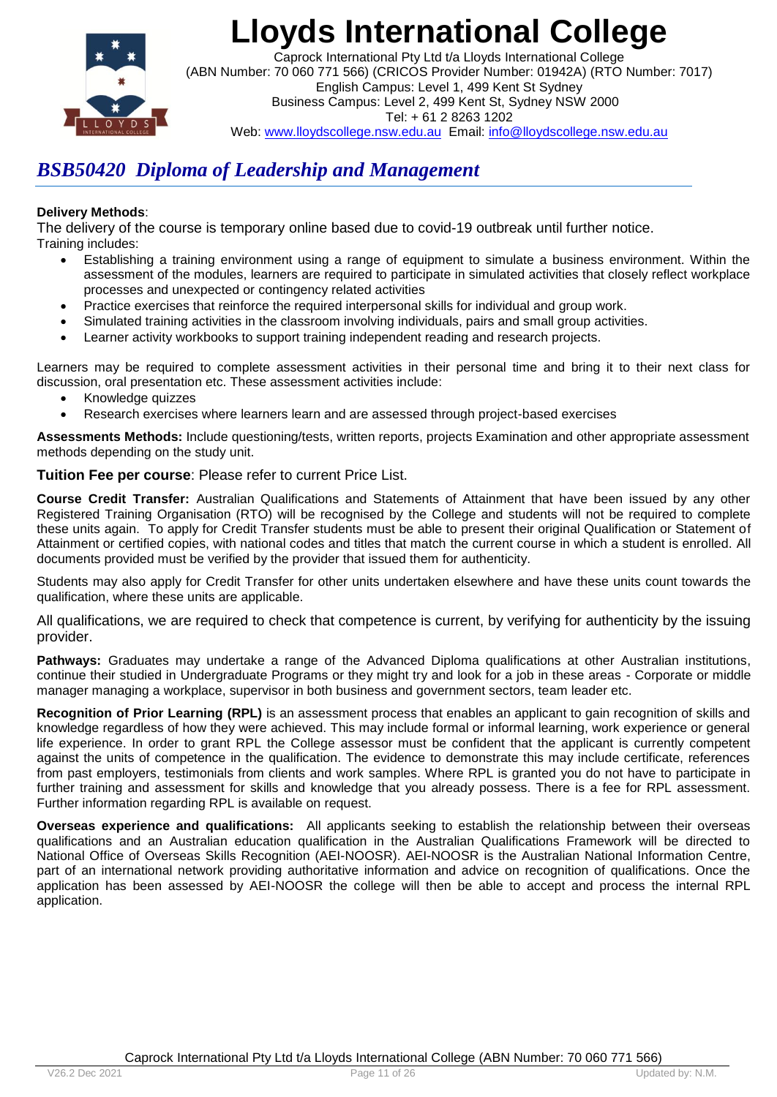

Caprock International Pty Ltd t/a Lloyds International College (ABN Number: 70 060 771 566) (CRICOS Provider Number: 01942A) (RTO Number: 7017) English Campus: Level 1, 499 Kent St Sydney Business Campus: Level 2, 499 Kent St, Sydney NSW 2000 Tel: + 61 2 8263 1202 Web: www.lloydscollege.nsw.edu.au Email: info@lloydscollege.nsw.edu.au

## *BSB50420 Diploma of Leadership and Management*

### **Delivery Methods**:

The delivery of the course is temporary online based due to covid-19 outbreak until further notice. Training includes:

- Establishing a training environment using a range of equipment to simulate a business environment. Within the assessment of the modules, learners are required to participate in simulated activities that closely reflect workplace processes and unexpected or contingency related activities
- Practice exercises that reinforce the required interpersonal skills for individual and group work.
- Simulated training activities in the classroom involving individuals, pairs and small group activities.
- Learner activity workbooks to support training independent reading and research projects.

Learners may be required to complete assessment activities in their personal time and bring it to their next class for discussion, oral presentation etc. These assessment activities include:

- Knowledge quizzes
- Research exercises where learners learn and are assessed through project-based exercises

**Assessments Methods:** Include questioning/tests, written reports, projects Examination and other appropriate assessment methods depending on the study unit.

### **Tuition Fee per course**: Please refer to current Price List.

**Course Credit Transfer:** Australian Qualifications and Statements of Attainment that have been issued by any other Registered Training Organisation (RTO) will be recognised by the College and students will not be required to complete these units again. To apply for Credit Transfer students must be able to present their original Qualification or Statement of Attainment or certified copies, with national codes and titles that match the current course in which a student is enrolled. All documents provided must be verified by the provider that issued them for authenticity.

Students may also apply for Credit Transfer for other units undertaken elsewhere and have these units count towards the qualification, where these units are applicable.

All qualifications, we are required to check that competence is current, by verifying for authenticity by the issuing provider.

**Pathways:** Graduates may undertake a range of the Advanced Diploma qualifications at other Australian institutions, continue their studied in Undergraduate Programs or they might try and look for a job in these areas - Corporate or middle manager managing a workplace, supervisor in both business and government sectors, team leader etc.

**Recognition of Prior Learning (RPL)** is an assessment process that enables an applicant to gain recognition of skills and knowledge regardless of how they were achieved. This may include formal or informal learning, work experience or general life experience. In order to grant RPL the College assessor must be confident that the applicant is currently competent against the units of competence in the qualification. The evidence to demonstrate this may include certificate, references from past employers, testimonials from clients and work samples. Where RPL is granted you do not have to participate in further training and assessment for skills and knowledge that you already possess. There is a fee for RPL assessment. Further information regarding RPL is available on request.

**Overseas experience and qualifications:**All applicants seeking to establish the relationship between their overseas qualifications and an Australian education qualification in the Australian Qualifications Framework will be directed to National Office of Overseas Skills Recognition (AEI-NOOSR). AEI-NOOSR is the Australian National Information Centre, part of an international network providing authoritative information and advice on recognition of qualifications. Once the application has been assessed by AEI-NOOSR the college will then be able to accept and process the internal RPL application.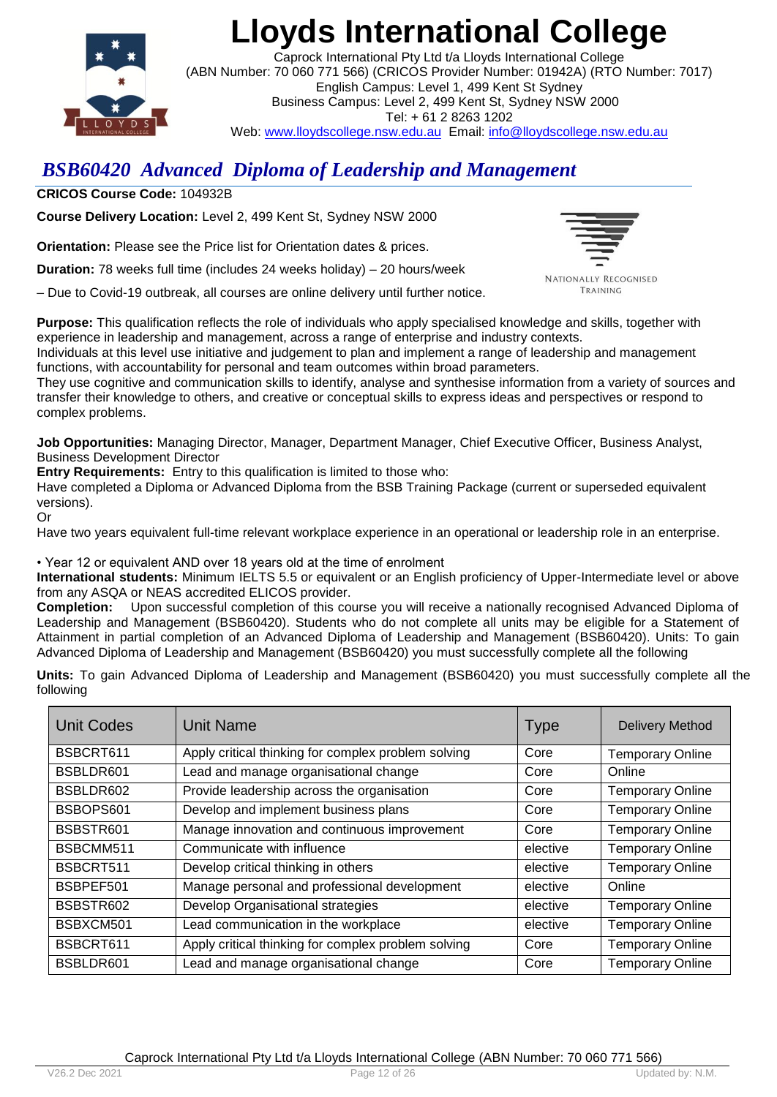

Caprock International Pty Ltd t/a Lloyds International College (ABN Number: 70 060 771 566) (CRICOS Provider Number: 01942A) (RTO Number: 7017) English Campus: Level 1, 499 Kent St Sydney Business Campus: Level 2, 499 Kent St, Sydney NSW 2000 Tel: + 61 2 8263 1202 Web: www.lloydscollege.nsw.edu.au Email: info@lloydscollege.nsw.edu.au

## *BSB60420 Advanced Diploma of Leadership and Management*

**CRICOS Course Code:** 104932B

**Course Delivery Location:** Level 2, 499 Kent St, Sydney NSW 2000

**Orientation:** Please see the Price list for Orientation dates & prices.

**Duration:** 78 weeks full time (includes 24 weeks holiday) – 20 hours/week

– Due to Covid-19 outbreak, all courses are online delivery until further notice.



NATIONALLY RECOGNISED TRAINING

**Purpose:** This qualification reflects the role of individuals who apply specialised knowledge and skills, together with experience in leadership and management, across a range of enterprise and industry contexts.

Individuals at this level use initiative and judgement to plan and implement a range of leadership and management functions, with accountability for personal and team outcomes within broad parameters.

They use cognitive and communication skills to identify, analyse and synthesise information from a variety of sources and transfer their knowledge to others, and creative or conceptual skills to express ideas and perspectives or respond to complex problems.

**Job Opportunities:** Managing Director, Manager, Department Manager, Chief Executive Officer, Business Analyst, Business Development Director

**Entry Requirements:** Entry to this qualification is limited to those who:

Have completed a Diploma or Advanced Diploma from the BSB Training Package (current or superseded equivalent versions).

Or

Have two years equivalent full-time relevant workplace experience in an operational or leadership role in an enterprise.

• Year 12 or equivalent AND over 18 years old at the time of enrolment

**International students:** Minimum IELTS 5.5 or equivalent or an English proficiency of Upper-Intermediate level or above from any ASQA or NEAS accredited ELICOS provider.

**Completion:** Upon successful completion of this course you will receive a nationally recognised Advanced Diploma of Leadership and Management (BSB60420). Students who do not complete all units may be eligible for a Statement of Attainment in partial completion of an Advanced Diploma of Leadership and Management (BSB60420). Units: To gain Advanced Diploma of Leadership and Management (BSB60420) you must successfully complete all the following

**Units:** To gain Advanced Diploma of Leadership and Management (BSB60420) you must successfully complete all the following

| <b>Unit Codes</b> | <b>Unit Name</b>                                    | <b>Type</b> | <b>Delivery Method</b>  |
|-------------------|-----------------------------------------------------|-------------|-------------------------|
| BSBCRT611         | Apply critical thinking for complex problem solving | Core        | <b>Temporary Online</b> |
| BSBLDR601         | Lead and manage organisational change               | Core        | Online                  |
| BSBLDR602         | Provide leadership across the organisation          | Core        | <b>Temporary Online</b> |
| BSBOPS601         | Develop and implement business plans                | Core        | <b>Temporary Online</b> |
| BSBSTR601         | Manage innovation and continuous improvement        | Core        | <b>Temporary Online</b> |
| BSBCMM511         | Communicate with influence                          | elective    | <b>Temporary Online</b> |
| BSBCRT511         | Develop critical thinking in others                 | elective    | <b>Temporary Online</b> |
| BSBPEF501         | Manage personal and professional development        | elective    | Online                  |
| BSBSTR602         | Develop Organisational strategies                   | elective    | <b>Temporary Online</b> |
| BSBXCM501         | Lead communication in the workplace                 | elective    | <b>Temporary Online</b> |
| BSBCRT611         | Apply critical thinking for complex problem solving | Core        | <b>Temporary Online</b> |
| BSBLDR601         | Lead and manage organisational change               | Core        | <b>Temporary Online</b> |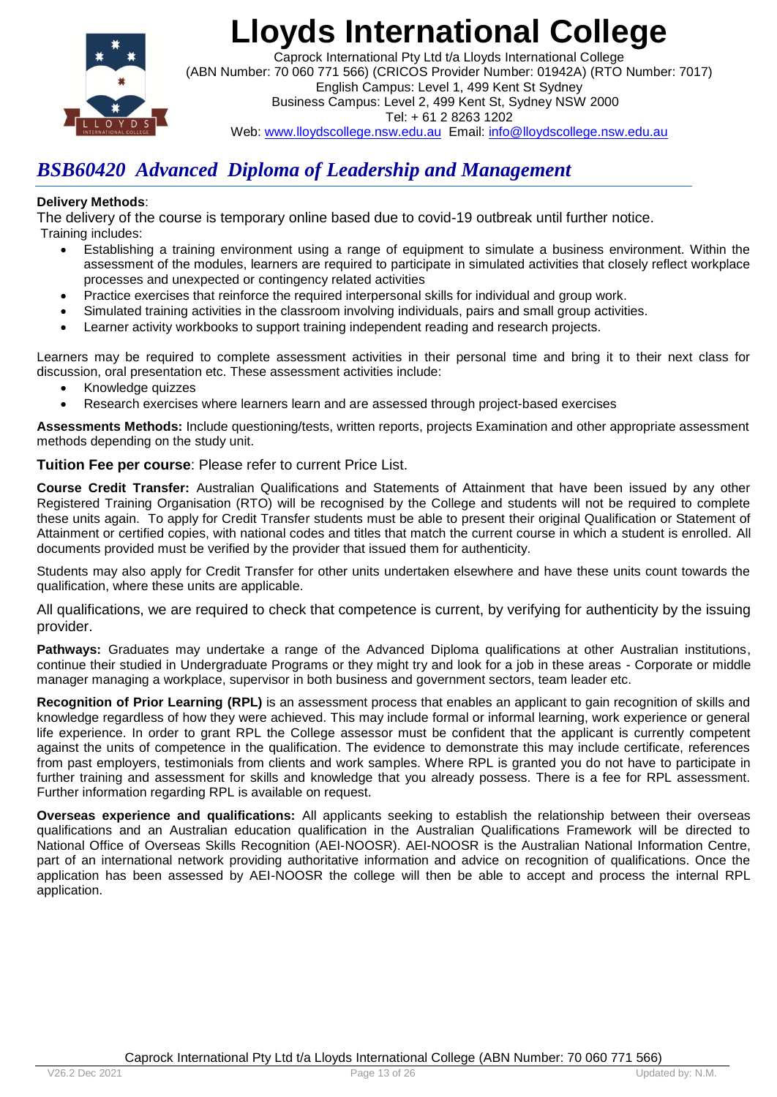

Caprock International Pty Ltd t/a Lloyds International College (ABN Number: 70 060 771 566) (CRICOS Provider Number: 01942A) (RTO Number: 7017) English Campus: Level 1, 499 Kent St Sydney Business Campus: Level 2, 499 Kent St, Sydney NSW 2000 Tel: + 61 2 8263 1202 Web: www.lloydscollege.nsw.edu.au Email: info@lloydscollege.nsw.edu.au

## *BSB60420 Advanced Diploma of Leadership and Management*

### **Delivery Methods**:

The delivery of the course is temporary online based due to covid-19 outbreak until further notice. Training includes:

- Establishing a training environment using a range of equipment to simulate a business environment. Within the assessment of the modules, learners are required to participate in simulated activities that closely reflect workplace processes and unexpected or contingency related activities
- Practice exercises that reinforce the required interpersonal skills for individual and group work.
- Simulated training activities in the classroom involving individuals, pairs and small group activities.
- Learner activity workbooks to support training independent reading and research projects.

Learners may be required to complete assessment activities in their personal time and bring it to their next class for discussion, oral presentation etc. These assessment activities include:

- Knowledge quizzes
- Research exercises where learners learn and are assessed through project-based exercises

**Assessments Methods:** Include questioning/tests, written reports, projects Examination and other appropriate assessment methods depending on the study unit.

### **Tuition Fee per course**: Please refer to current Price List.

**Course Credit Transfer:** Australian Qualifications and Statements of Attainment that have been issued by any other Registered Training Organisation (RTO) will be recognised by the College and students will not be required to complete these units again. To apply for Credit Transfer students must be able to present their original Qualification or Statement of Attainment or certified copies, with national codes and titles that match the current course in which a student is enrolled. All documents provided must be verified by the provider that issued them for authenticity.

Students may also apply for Credit Transfer for other units undertaken elsewhere and have these units count towards the qualification, where these units are applicable.

All qualifications, we are required to check that competence is current, by verifying for authenticity by the issuing provider.

**Pathways:** Graduates may undertake a range of the Advanced Diploma qualifications at other Australian institutions, continue their studied in Undergraduate Programs or they might try and look for a job in these areas - Corporate or middle manager managing a workplace, supervisor in both business and government sectors, team leader etc.

**Recognition of Prior Learning (RPL)** is an assessment process that enables an applicant to gain recognition of skills and knowledge regardless of how they were achieved. This may include formal or informal learning, work experience or general life experience. In order to grant RPL the College assessor must be confident that the applicant is currently competent against the units of competence in the qualification. The evidence to demonstrate this may include certificate, references from past employers, testimonials from clients and work samples. Where RPL is granted you do not have to participate in further training and assessment for skills and knowledge that you already possess. There is a fee for RPL assessment. Further information regarding RPL is available on request.

**Overseas experience and qualifications:** All applicants seeking to establish the relationship between their overseas qualifications and an Australian education qualification in the Australian Qualifications Framework will be directed to National Office of Overseas Skills Recognition (AEI-NOOSR). AEI-NOOSR is the Australian National Information Centre, part of an international network providing authoritative information and advice on recognition of qualifications. Once the application has been assessed by AEI-NOOSR the college will then be able to accept and process the internal RPL application.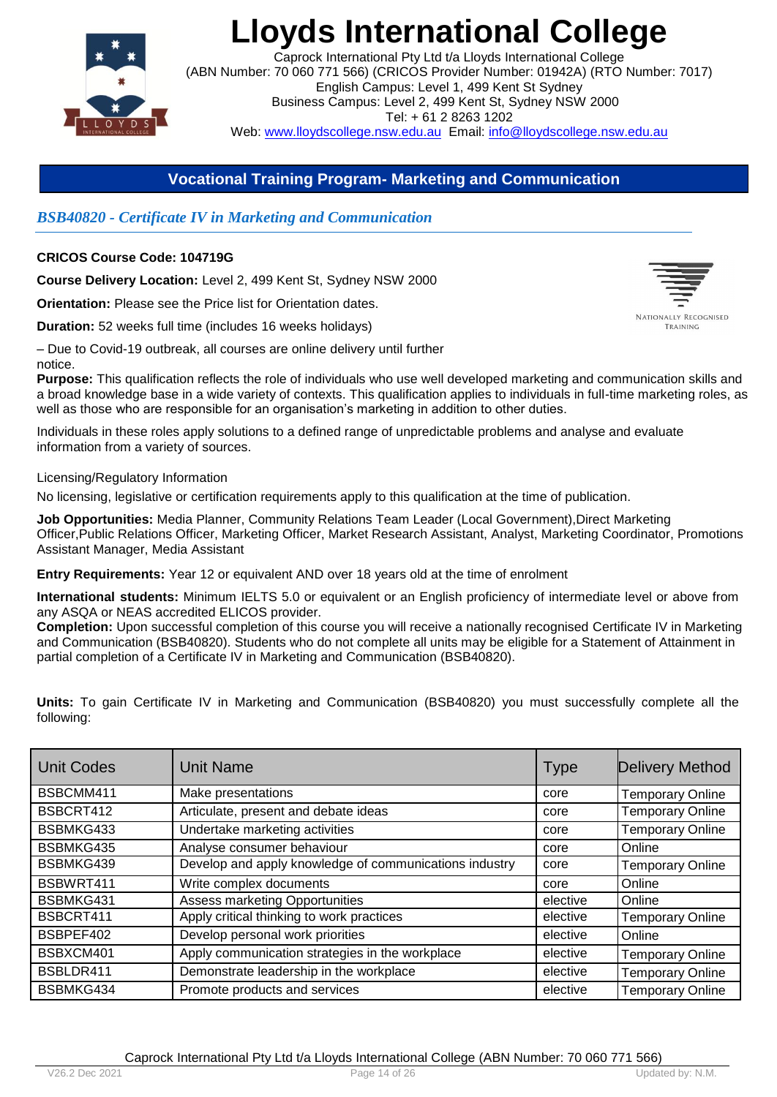

Caprock International Pty Ltd t/a Lloyds International College (ABN Number: 70 060 771 566) (CRICOS Provider Number: 01942A) (RTO Number: 7017) English Campus: Level 1, 499 Kent St Sydney Business Campus: Level 2, 499 Kent St, Sydney NSW 2000 Tel: + 61 2 8263 1202 Web: www.lloydscollege.nsw.edu.au Email: info@lloydscollege.nsw.edu.au

### **Vocational Training Program- Marketing and Communication**

### *BSB40820 - Certificate IV in Marketing and Communication*

### **CRICOS Course Code: 104719G**

**Course Delivery Location:** Level 2, 499 Kent St, Sydney NSW 2000

**Orientation:** Please see the Price list for Orientation dates.

**Duration:** 52 weeks full time (includes 16 weeks holidays)

– Due to Covid-19 outbreak, all courses are online delivery until further notice.

**Purpose:** This qualification reflects the role of individuals who use well developed marketing and communication skills and a broad knowledge base in a wide variety of contexts. This qualification applies to individuals in full-time marketing roles, as well as those who are responsible for an organisation's marketing in addition to other duties.

Individuals in these roles apply solutions to a defined range of unpredictable problems and analyse and evaluate information from a variety of sources.

Licensing/Regulatory Information

No licensing, legislative or certification requirements apply to this qualification at the time of publication.

**Job Opportunities:** Media Planner, Community Relations Team Leader (Local Government),Direct Marketing Officer,Public Relations Officer, Marketing Officer, Market Research Assistant, Analyst, Marketing Coordinator, Promotions Assistant Manager, Media Assistant

**Entry Requirements:** Year 12 or equivalent AND over 18 years old at the time of enrolment

**International students:** Minimum IELTS 5.0 or equivalent or an English proficiency of intermediate level or above from any ASQA or NEAS accredited ELICOS provider.

**Completion:** Upon successful completion of this course you will receive a nationally recognised Certificate IV in Marketing and Communication (BSB40820). Students who do not complete all units may be eligible for a Statement of Attainment in partial completion of a Certificate IV in Marketing and Communication (BSB40820).

**Units:** To gain Certificate IV in Marketing and Communication (BSB40820) you must successfully complete all the following:

| Unit Codes | <b>Unit Name</b>                                       | <b>Type</b> | Delivery Method         |
|------------|--------------------------------------------------------|-------------|-------------------------|
| BSBCMM411  | Make presentations                                     | core        | <b>Temporary Online</b> |
| BSBCRT412  | Articulate, present and debate ideas                   | core        | <b>Temporary Online</b> |
| BSBMKG433  | Undertake marketing activities                         | core        | <b>Temporary Online</b> |
| BSBMKG435  | Analyse consumer behaviour                             | core        | Online                  |
| BSBMKG439  | Develop and apply knowledge of communications industry | core        | <b>Temporary Online</b> |
| BSBWRT411  | Write complex documents                                | core        | Online                  |
| BSBMKG431  | <b>Assess marketing Opportunities</b>                  | elective    | Online                  |
| BSBCRT411  | Apply critical thinking to work practices              | elective    | <b>Temporary Online</b> |
| BSBPEF402  | Develop personal work priorities                       | elective    | Online                  |
| BSBXCM401  | Apply communication strategies in the workplace        | elective    | <b>Temporary Online</b> |
| BSBLDR411  | Demonstrate leadership in the workplace                | elective    | <b>Temporary Online</b> |
| BSBMKG434  | Promote products and services                          | elective    | <b>Temporary Online</b> |



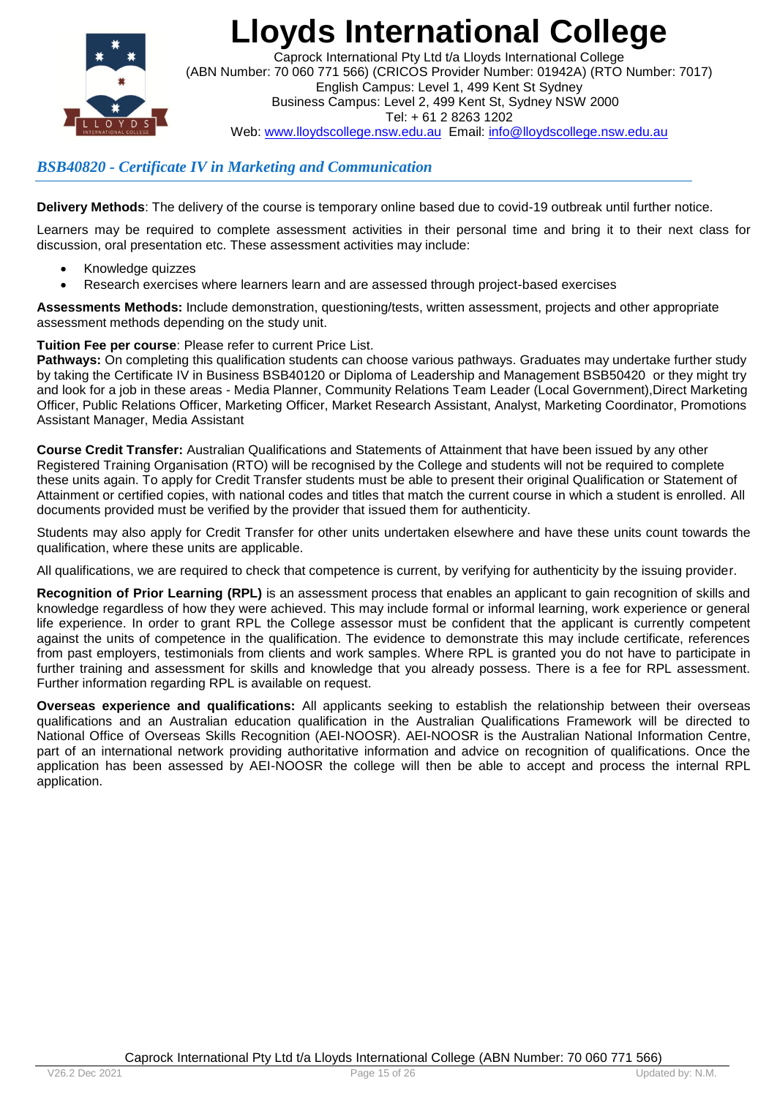

Caprock International Pty Ltd t/a Lloyds International College (ABN Number: 70 060 771 566) (CRICOS Provider Number: 01942A) (RTO Number: 7017) English Campus: Level 1, 499 Kent St Sydney Business Campus: Level 2, 499 Kent St, Sydney NSW 2000 Tel: + 61 2 8263 1202 Web: www.lloydscollege.nsw.edu.au Email: info@lloydscollege.nsw.edu.au

### *BSB40820 - Certificate IV in Marketing and Communication*

**Delivery Methods**: The delivery of the course is temporary online based due to covid-19 outbreak until further notice.

Learners may be required to complete assessment activities in their personal time and bring it to their next class for discussion, oral presentation etc. These assessment activities may include:

- Knowledge quizzes
- Research exercises where learners learn and are assessed through project-based exercises

**Assessments Methods:** Include demonstration, questioning/tests, written assessment, projects and other appropriate assessment methods depending on the study unit.

### **Tuition Fee per course**: Please refer to current Price List.

**Pathways:** On completing this qualification students can choose various pathways. Graduates may undertake further study by taking the Certificate IV in Business BSB40120 or Diploma of Leadership and Management BSB50420 or they might try and look for a job in these areas - Media Planner, Community Relations Team Leader (Local Government),Direct Marketing Officer, Public Relations Officer, Marketing Officer, Market Research Assistant, Analyst, Marketing Coordinator, Promotions Assistant Manager, Media Assistant

**Course Credit Transfer:** Australian Qualifications and Statements of Attainment that have been issued by any other Registered Training Organisation (RTO) will be recognised by the College and students will not be required to complete these units again. To apply for Credit Transfer students must be able to present their original Qualification or Statement of Attainment or certified copies, with national codes and titles that match the current course in which a student is enrolled. All documents provided must be verified by the provider that issued them for authenticity.

Students may also apply for Credit Transfer for other units undertaken elsewhere and have these units count towards the qualification, where these units are applicable.

All qualifications, we are required to check that competence is current, by verifying for authenticity by the issuing provider.

**Recognition of Prior Learning (RPL)** is an assessment process that enables an applicant to gain recognition of skills and knowledge regardless of how they were achieved. This may include formal or informal learning, work experience or general life experience. In order to grant RPL the College assessor must be confident that the applicant is currently competent against the units of competence in the qualification. The evidence to demonstrate this may include certificate, references from past employers, testimonials from clients and work samples. Where RPL is granted you do not have to participate in further training and assessment for skills and knowledge that you already possess. There is a fee for RPL assessment. Further information regarding RPL is available on request.

**Overseas experience and qualifications:** All applicants seeking to establish the relationship between their overseas qualifications and an Australian education qualification in the Australian Qualifications Framework will be directed to National Office of Overseas Skills Recognition (AEI-NOOSR). AEI-NOOSR is the Australian National Information Centre, part of an international network providing authoritative information and advice on recognition of qualifications. Once the application has been assessed by AEI-NOOSR the college will then be able to accept and process the internal RPL application.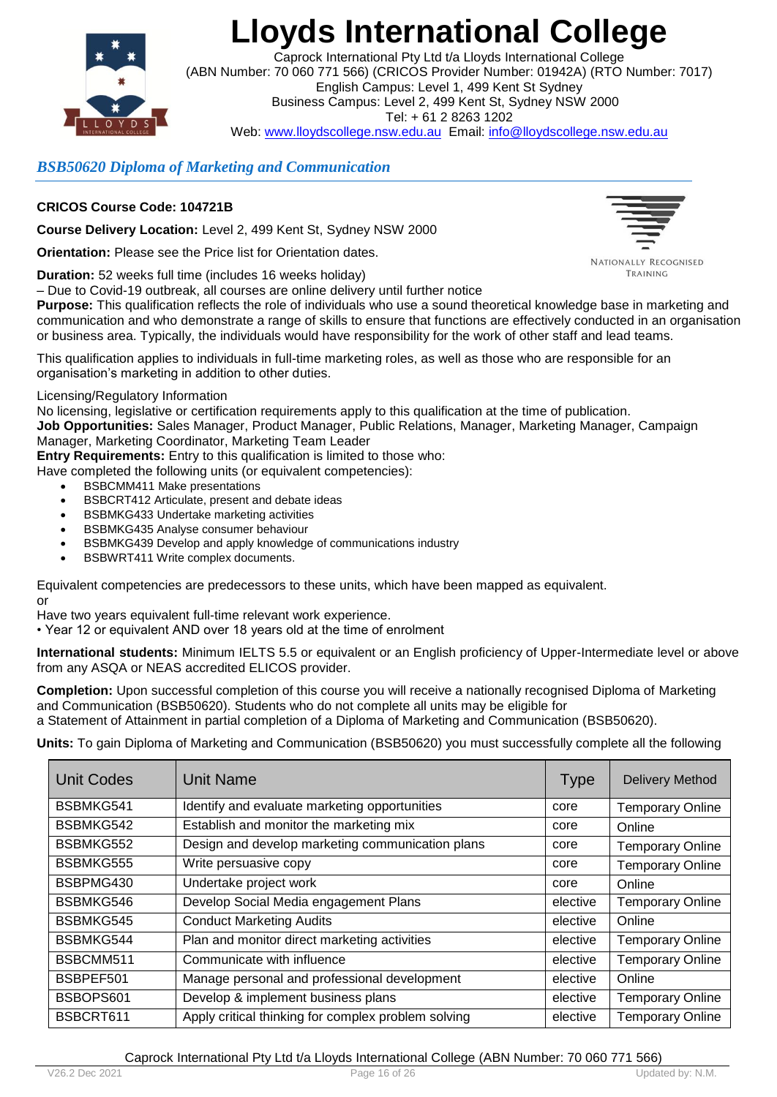

Caprock International Pty Ltd t/a Lloyds International College (ABN Number: 70 060 771 566) (CRICOS Provider Number: 01942A) (RTO Number: 7017) English Campus: Level 1, 499 Kent St Sydney Business Campus: Level 2, 499 Kent St, Sydney NSW 2000 Tel: + 61 2 8263 1202 Web: www.lloydscollege.nsw.edu.au Email: info@lloydscollege.nsw.edu.au

### *BSB50620 Diploma of Marketing and Communication*

### **CRICOS Course Code: 104721B**

**Course Delivery Location:** Level 2, 499 Kent St, Sydney NSW 2000

**Orientation:** Please see the Price list for Orientation dates.

**Duration:** 52 weeks full time (includes 16 weeks holiday)

– Due to Covid-19 outbreak, all courses are online delivery until further notice

**Purpose:** This qualification reflects the role of individuals who use a sound theoretical knowledge base in marketing and communication and who demonstrate a range of skills to ensure that functions are effectively conducted in an organisation or business area. Typically, the individuals would have responsibility for the work of other staff and lead teams.

This qualification applies to individuals in full-time marketing roles, as well as those who are responsible for an organisation's marketing in addition to other duties.

### Licensing/Regulatory Information

No licensing, legislative or certification requirements apply to this qualification at the time of publication.

**Job Opportunities:** Sales Manager, Product Manager, Public Relations, Manager, Marketing Manager, Campaign Manager, Marketing Coordinator, Marketing Team Leader

**Entry Requirements:** Entry to this qualification is limited to those who:

Have completed the following units (or equivalent competencies):

- BSBCMM411 Make presentations
- BSBCRT412 Articulate, present and debate ideas
- BSBMKG433 Undertake marketing activities
- BSBMKG435 Analyse consumer behaviour
- BSBMKG439 Develop and apply knowledge of communications industry
- BSBWRT411 Write complex documents.

Equivalent competencies are predecessors to these units, which have been mapped as equivalent. or

Have two years equivalent full-time relevant work experience.

• Year 12 or equivalent AND over 18 years old at the time of enrolment

**International students:** Minimum IELTS 5.5 or equivalent or an English proficiency of Upper-Intermediate level or above from any ASQA or NEAS accredited ELICOS provider.

**Completion:** Upon successful completion of this course you will receive a nationally recognised Diploma of Marketing and Communication (BSB50620). Students who do not complete all units may be eligible for

a Statement of Attainment in partial completion of a Diploma of Marketing and Communication (BSB50620).

**Units:** To gain Diploma of Marketing and Communication (BSB50620) you must successfully complete all the following

| <b>Unit Codes</b> | <b>Unit Name</b>                                    | <b>Type</b> | <b>Delivery Method</b>  |
|-------------------|-----------------------------------------------------|-------------|-------------------------|
| BSBMKG541         | Identify and evaluate marketing opportunities       | core        | <b>Temporary Online</b> |
| BSBMKG542         | Establish and monitor the marketing mix             | core        | Online                  |
| BSBMKG552         | Design and develop marketing communication plans    | core        | <b>Temporary Online</b> |
| BSBMKG555         | Write persuasive copy                               | core        | <b>Temporary Online</b> |
| BSBPMG430         | Undertake project work                              | core        | Online                  |
| BSBMKG546         | Develop Social Media engagement Plans               | elective    | <b>Temporary Online</b> |
| BSBMKG545         | <b>Conduct Marketing Audits</b>                     | elective    | Online                  |
| BSBMKG544         | Plan and monitor direct marketing activities        | elective    | <b>Temporary Online</b> |
| BSBCMM511         | Communicate with influence                          | elective    | <b>Temporary Online</b> |
| BSBPEF501         | Manage personal and professional development        | elective    | Online                  |
| BSBOPS601         | Develop & implement business plans                  | elective    | <b>Temporary Online</b> |
| BSBCRT611         | Apply critical thinking for complex problem solving | elective    | <b>Temporary Online</b> |





TRAINING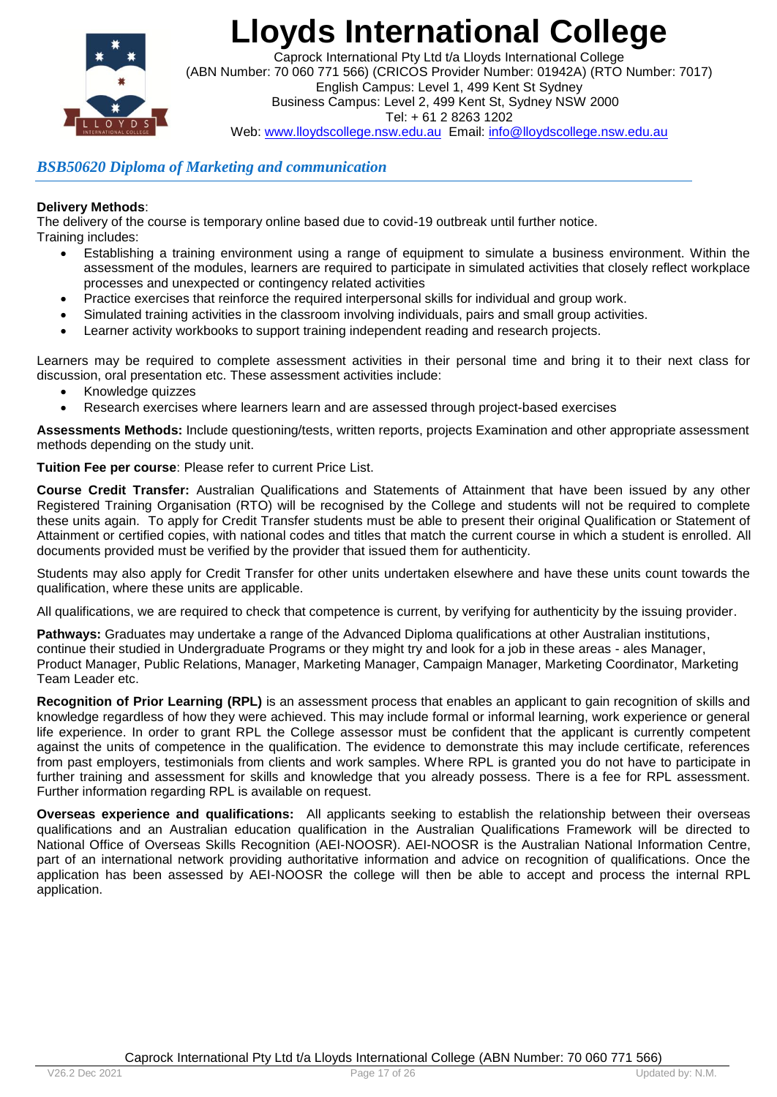

Caprock International Pty Ltd t/a Lloyds International College (ABN Number: 70 060 771 566) (CRICOS Provider Number: 01942A) (RTO Number: 7017) English Campus: Level 1, 499 Kent St Sydney Business Campus: Level 2, 499 Kent St, Sydney NSW 2000 Tel: + 61 2 8263 1202 Web: www.lloydscollege.nsw.edu.au Email: info@lloydscollege.nsw.edu.au

### *BSB50620 Diploma of Marketing and communication*

### **Delivery Methods**:

The delivery of the course is temporary online based due to covid-19 outbreak until further notice. Training includes:

- Establishing a training environment using a range of equipment to simulate a business environment. Within the assessment of the modules, learners are required to participate in simulated activities that closely reflect workplace processes and unexpected or contingency related activities
- Practice exercises that reinforce the required interpersonal skills for individual and group work.
- Simulated training activities in the classroom involving individuals, pairs and small group activities.
- Learner activity workbooks to support training independent reading and research projects.

Learners may be required to complete assessment activities in their personal time and bring it to their next class for discussion, oral presentation etc. These assessment activities include:

- Knowledge quizzes
- Research exercises where learners learn and are assessed through project-based exercises

**Assessments Methods:** Include questioning/tests, written reports, projects Examination and other appropriate assessment methods depending on the study unit.

**Tuition Fee per course**: Please refer to current Price List.

**Course Credit Transfer:** Australian Qualifications and Statements of Attainment that have been issued by any other Registered Training Organisation (RTO) will be recognised by the College and students will not be required to complete these units again. To apply for Credit Transfer students must be able to present their original Qualification or Statement of Attainment or certified copies, with national codes and titles that match the current course in which a student is enrolled. All documents provided must be verified by the provider that issued them for authenticity.

Students may also apply for Credit Transfer for other units undertaken elsewhere and have these units count towards the qualification, where these units are applicable.

All qualifications, we are required to check that competence is current, by verifying for authenticity by the issuing provider.

**Pathways:** Graduates may undertake a range of the Advanced Diploma qualifications at other Australian institutions, continue their studied in Undergraduate Programs or they might try and look for a job in these areas - ales Manager, Product Manager, Public Relations, Manager, Marketing Manager, Campaign Manager, Marketing Coordinator, Marketing Team Leader etc.

**Recognition of Prior Learning (RPL)** is an assessment process that enables an applicant to gain recognition of skills and knowledge regardless of how they were achieved. This may include formal or informal learning, work experience or general life experience. In order to grant RPL the College assessor must be confident that the applicant is currently competent against the units of competence in the qualification. The evidence to demonstrate this may include certificate, references from past employers, testimonials from clients and work samples. Where RPL is granted you do not have to participate in further training and assessment for skills and knowledge that you already possess. There is a fee for RPL assessment. Further information regarding RPL is available on request.

**Overseas experience and qualifications:**All applicants seeking to establish the relationship between their overseas qualifications and an Australian education qualification in the Australian Qualifications Framework will be directed to National Office of Overseas Skills Recognition (AEI-NOOSR). AEI-NOOSR is the Australian National Information Centre, part of an international network providing authoritative information and advice on recognition of qualifications. Once the application has been assessed by AEI-NOOSR the college will then be able to accept and process the internal RPL application.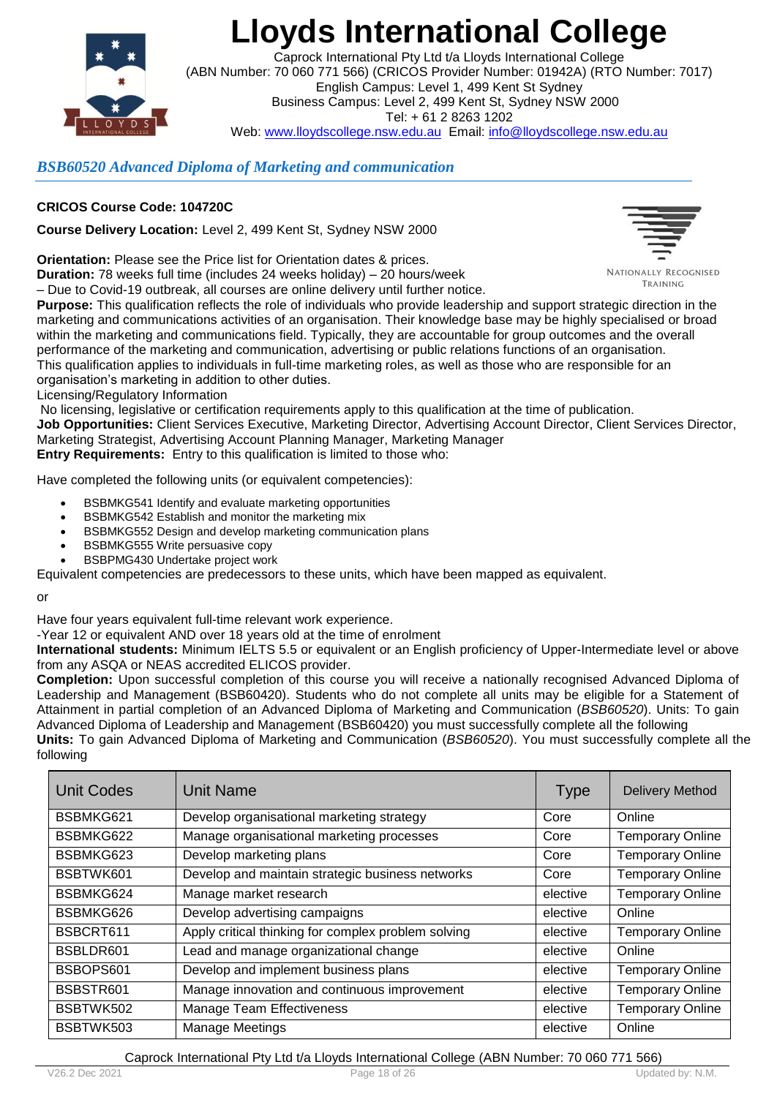

Caprock International Pty Ltd t/a Lloyds International College (ABN Number: 70 060 771 566) (CRICOS Provider Number: 01942A) (RTO Number: 7017) English Campus: Level 1, 499 Kent St Sydney Business Campus: Level 2, 499 Kent St, Sydney NSW 2000 Tel: + 61 2 8263 1202 Web: www.lloydscollege.nsw.edu.au Email: info@lloydscollege.nsw.edu.au

### *BSB60520 Advanced Diploma of Marketing and communication*

### **CRICOS Course Code: 104720C**

**Course Delivery Location:** Level 2, 499 Kent St, Sydney NSW 2000

**Orientation:** Please see the Price list for Orientation dates & prices.

**Duration:** 78 weeks full time (includes 24 weeks holiday) – 20 hours/week – Due to Covid-19 outbreak, all courses are online delivery until further notice.



NATIONALLY RECOGNISED TRAINING

**Purpose:** This qualification reflects the role of individuals who provide leadership and support strategic direction in the marketing and communications activities of an organisation. Their knowledge base may be highly specialised or broad within the marketing and communications field. Typically, they are accountable for group outcomes and the overall performance of the marketing and communication, advertising or public relations functions of an organisation. This qualification applies to individuals in full-time marketing roles, as well as those who are responsible for an organisation's marketing in addition to other duties.

Licensing/Regulatory Information

No licensing, legislative or certification requirements apply to this qualification at the time of publication. **Job Opportunities:** Client Services Executive, Marketing Director, Advertising Account Director, Client Services Director, Marketing Strategist, Advertising Account Planning Manager, Marketing Manager **Entry Requirements:** Entry to this qualification is limited to those who:

Have completed the following units (or equivalent competencies):

- BSBMKG541 Identify and evaluate marketing opportunities
- BSBMKG542 Establish and monitor the marketing mix
- BSBMKG552 Design and develop marketing communication plans
- BSBMKG555 Write persuasive copy
- BSBPMG430 Undertake project work

Equivalent competencies are predecessors to these units, which have been mapped as equivalent.

or

Have four years equivalent full-time relevant work experience.

-Year 12 or equivalent AND over 18 years old at the time of enrolment

**International students:** Minimum IELTS 5.5 or equivalent or an English proficiency of Upper-Intermediate level or above from any ASQA or NEAS accredited ELICOS provider.

**Completion:** Upon successful completion of this course you will receive a nationally recognised Advanced Diploma of Leadership and Management (BSB60420). Students who do not complete all units may be eligible for a Statement of Attainment in partial completion of an Advanced Diploma of Marketing and Communication (*BSB60520*). Units: To gain Advanced Diploma of Leadership and Management (BSB60420) you must successfully complete all the following

**Units:** To gain Advanced Diploma of Marketing and Communication (*BSB60520*). You must successfully complete all the following

| Unit Codes | Unit Name                                           | <b>Type</b> | <b>Delivery Method</b>  |
|------------|-----------------------------------------------------|-------------|-------------------------|
| BSBMKG621  | Develop organisational marketing strategy           | Core        | Online                  |
| BSBMKG622  | Manage organisational marketing processes           | Core        | <b>Temporary Online</b> |
| BSBMKG623  | Develop marketing plans                             | Core        | <b>Temporary Online</b> |
| BSBTWK601  | Develop and maintain strategic business networks    | Core        | <b>Temporary Online</b> |
| BSBMKG624  | Manage market research                              | elective    | <b>Temporary Online</b> |
| BSBMKG626  | Develop advertising campaigns                       | elective    | Online                  |
| BSBCRT611  | Apply critical thinking for complex problem solving | elective    | <b>Temporary Online</b> |
| BSBLDR601  | Lead and manage organizational change               | elective    | Online                  |
| BSBOPS601  | Develop and implement business plans                | elective    | <b>Temporary Online</b> |
| BSBSTR601  | Manage innovation and continuous improvement        | elective    | <b>Temporary Online</b> |
| BSBTWK502  | <b>Manage Team Effectiveness</b>                    | elective    | <b>Temporary Online</b> |
| BSBTWK503  | <b>Manage Meetings</b>                              | elective    | Online                  |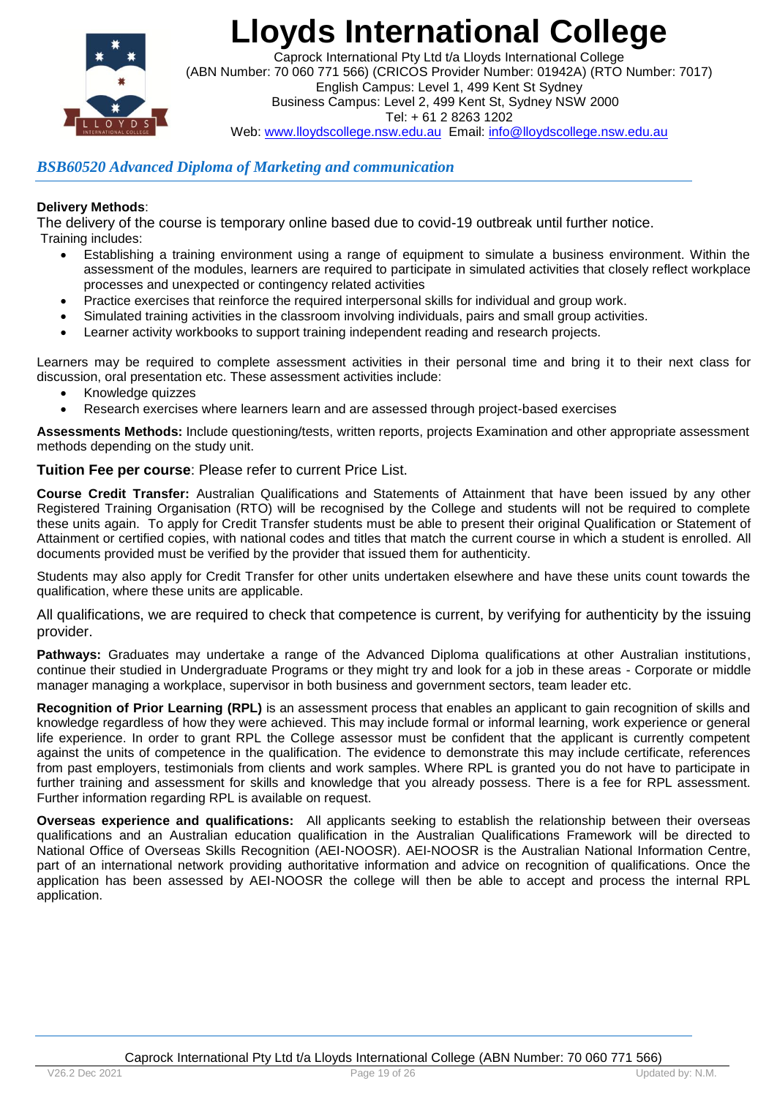

Caprock International Pty Ltd t/a Lloyds International College (ABN Number: 70 060 771 566) (CRICOS Provider Number: 01942A) (RTO Number: 7017) English Campus: Level 1, 499 Kent St Sydney Business Campus: Level 2, 499 Kent St, Sydney NSW 2000 Tel: + 61 2 8263 1202 Web: www.lloydscollege.nsw.edu.au Email: info@lloydscollege.nsw.edu.au

### *BSB60520 Advanced Diploma of Marketing and communication*

### **Delivery Methods**:

The delivery of the course is temporary online based due to covid-19 outbreak until further notice. Training includes:

- Establishing a training environment using a range of equipment to simulate a business environment. Within the assessment of the modules, learners are required to participate in simulated activities that closely reflect workplace processes and unexpected or contingency related activities
- Practice exercises that reinforce the required interpersonal skills for individual and group work.
- Simulated training activities in the classroom involving individuals, pairs and small group activities.
- Learner activity workbooks to support training independent reading and research projects.

Learners may be required to complete assessment activities in their personal time and bring it to their next class for discussion, oral presentation etc. These assessment activities include:

- Knowledge quizzes
- Research exercises where learners learn and are assessed through project-based exercises

**Assessments Methods:** Include questioning/tests, written reports, projects Examination and other appropriate assessment methods depending on the study unit.

**Tuition Fee per course**: Please refer to current Price List.

**Course Credit Transfer:** Australian Qualifications and Statements of Attainment that have been issued by any other Registered Training Organisation (RTO) will be recognised by the College and students will not be required to complete these units again. To apply for Credit Transfer students must be able to present their original Qualification or Statement of Attainment or certified copies, with national codes and titles that match the current course in which a student is enrolled. All documents provided must be verified by the provider that issued them for authenticity.

Students may also apply for Credit Transfer for other units undertaken elsewhere and have these units count towards the qualification, where these units are applicable.

All qualifications, we are required to check that competence is current, by verifying for authenticity by the issuing provider.

**Pathways:** Graduates may undertake a range of the Advanced Diploma qualifications at other Australian institutions, continue their studied in Undergraduate Programs or they might try and look for a job in these areas - Corporate or middle manager managing a workplace, supervisor in both business and government sectors, team leader etc.

**Recognition of Prior Learning (RPL)** is an assessment process that enables an applicant to gain recognition of skills and knowledge regardless of how they were achieved. This may include formal or informal learning, work experience or general life experience. In order to grant RPL the College assessor must be confident that the applicant is currently competent against the units of competence in the qualification. The evidence to demonstrate this may include certificate, references from past employers, testimonials from clients and work samples. Where RPL is granted you do not have to participate in further training and assessment for skills and knowledge that you already possess. There is a fee for RPL assessment. Further information regarding RPL is available on request.

**Overseas experience and qualifications:**All applicants seeking to establish the relationship between their overseas qualifications and an Australian education qualification in the Australian Qualifications Framework will be directed to National Office of Overseas Skills Recognition (AEI-NOOSR). AEI-NOOSR is the Australian National Information Centre, part of an international network providing authoritative information and advice on recognition of qualifications. Once the application has been assessed by AEI-NOOSR the college will then be able to accept and process the internal RPL application.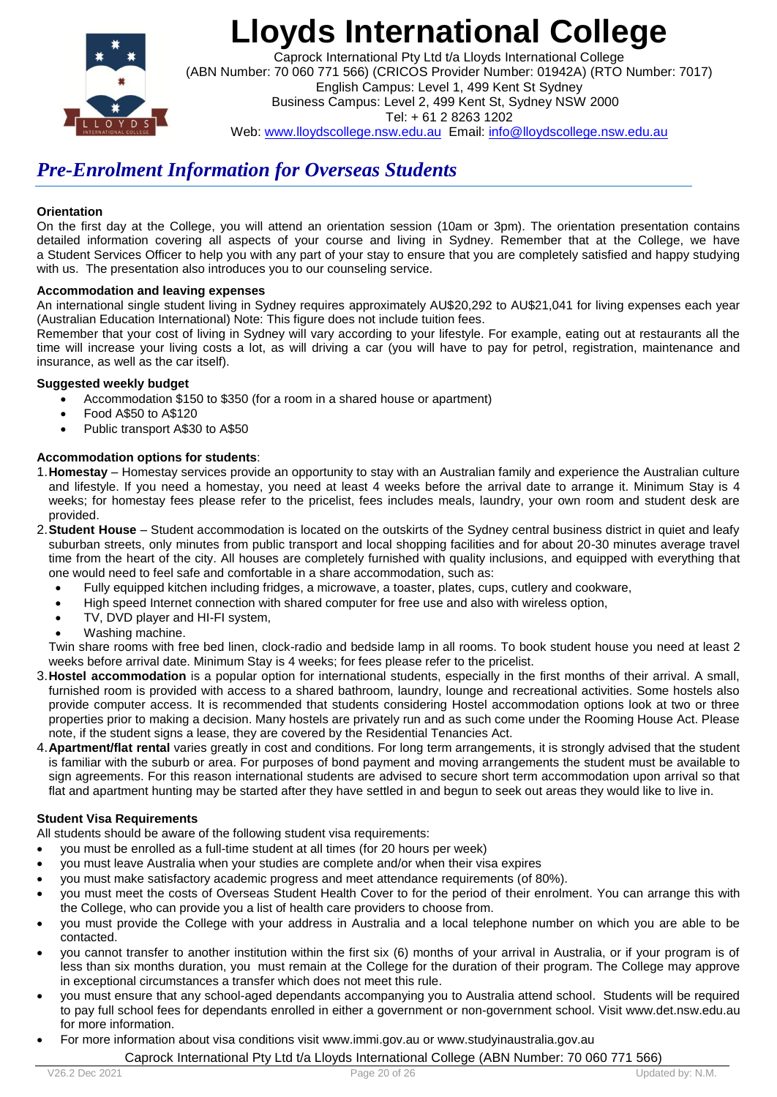

Caprock International Pty Ltd t/a Lloyds International College (ABN Number: 70 060 771 566) (CRICOS Provider Number: 01942A) (RTO Number: 7017) English Campus: Level 1, 499 Kent St Sydney Business Campus: Level 2, 499 Kent St, Sydney NSW 2000 Tel: + 61 2 8263 1202 Web: www.lloydscollege.nsw.edu.au Email: info@lloydscollege.nsw.edu.au

## *Pre-Enrolment Information for Overseas Students*

#### **Orientation**

On the first day at the College, you will attend an orientation session (10am or 3pm). The orientation presentation contains detailed information covering all aspects of your course and living in Sydney. Remember that at the College, we have a Student Services Officer to help you with any part of your stay to ensure that you are completely satisfied and happy studying with us. The presentation also introduces you to our counseling service.

#### **Accommodation and leaving expenses**

An international single student living in Sydney requires approximately AU\$20,292 to AU\$21,041 for living expenses each year (Australian Education International) Note: This figure does not include tuition fees.

Remember that your cost of living in Sydney will vary according to your lifestyle. For example, eating out at restaurants all the time will increase your living costs a lot, as will driving a car (you will have to pay for petrol, registration, maintenance and insurance, as well as the car itself).

#### **Suggested weekly budget**

- Accommodation \$150 to \$350 (for a room in a shared house or apartment)
- Food A\$50 to A\$120
- Public transport A\$30 to A\$50

### **Accommodation options for students**:

- 1.**Homestay** Homestay services provide an opportunity to stay with an Australian family and experience the Australian culture and lifestyle. If you need a homestay, you need at least 4 weeks before the arrival date to arrange it. Minimum Stay is 4 weeks; for homestay fees please refer to the pricelist, fees includes meals, laundry, your own room and student desk are provided.
- 2.**Student House** Student accommodation is located on the outskirts of the Sydney central business district in quiet and leafy suburban streets, only minutes from public transport and local shopping facilities and for about 20-30 minutes average travel time from the heart of the city. All houses are completely furnished with quality inclusions, and equipped with everything that one would need to feel safe and comfortable in a share accommodation, such as:
	- Fully equipped kitchen including fridges, a microwave, a toaster, plates, cups, cutlery and cookware,
	- High speed Internet connection with shared computer for free use and also with wireless option,
	- TV, DVD player and HI-FI system,
	- Washing machine.

Twin share rooms with free bed linen, clock-radio and bedside lamp in all rooms. To book student house you need at least 2 weeks before arrival date. Minimum Stay is 4 weeks; for fees please refer to the pricelist.

- 3.**Hostel accommodation** is a popular option for international students, especially in the first months of their arrival. A small, furnished room is provided with access to a shared bathroom, laundry, lounge and recreational activities. Some hostels also provide computer access. It is recommended that students considering Hostel accommodation options look at two or three properties prior to making a decision. Many hostels are privately run and as such come under the Rooming House Act. Please note, if the student signs a lease, they are covered by the Residential Tenancies Act.
- 4.**Apartment/flat rental** varies greatly in cost and conditions. For long term arrangements, it is strongly advised that the student is familiar with the suburb or area. For purposes of bond payment and moving arrangements the student must be available to sign agreements. For this reason international students are advised to secure short term accommodation upon arrival so that flat and apartment hunting may be started after they have settled in and begun to seek out areas they would like to live in.

### **Student Visa Requirements**

All students should be aware of the following student visa requirements:

- you must be enrolled as a full-time student at all times (for 20 hours per week)
- you must leave Australia when your studies are complete and/or when their visa expires
- you must make satisfactory academic progress and meet attendance requirements (of 80%).
- you must meet the costs of Overseas Student Health Cover to for the period of their enrolment. You can arrange this with the College, who can provide you a list of health care providers to choose from.
- you must provide the College with your address in Australia and a local telephone number on which you are able to be contacted.
- you cannot transfer to another institution within the first six (6) months of your arrival in Australia, or if your program is of less than six months duration, you must remain at the College for the duration of their program. The College may approve in exceptional circumstances a transfer which does not meet this rule.
- you must ensure that any school-aged dependants accompanying you to Australia attend school. Students will be required to pay full school fees for dependants enrolled in either a government or non-government school. Visit [www.det.nsw.edu.au](http://www.det.nsw.edu.au/) for more information.
- For more information about visa conditions visit [www.immi.gov.au](http://www.immi.gov.au/) or [www.studyinaustralia.gov.au](http://www.studyinaustralia.gov.au/)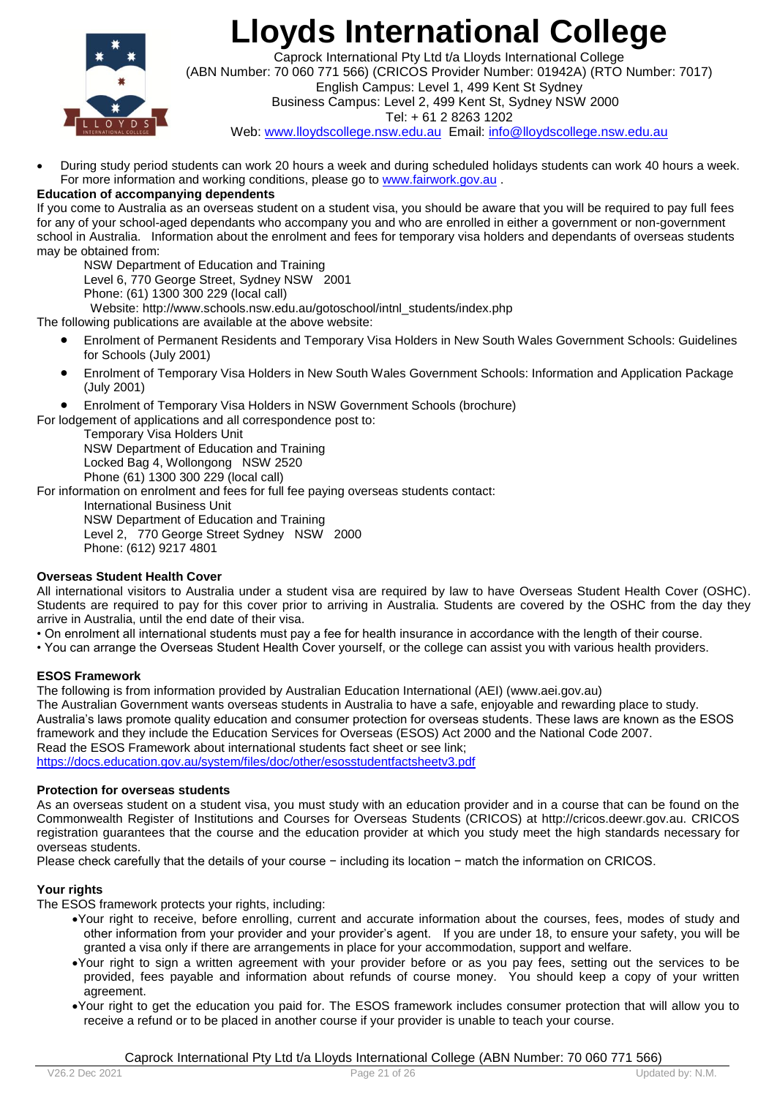

Caprock International Pty Ltd t/a Lloyds International College (ABN Number: 70 060 771 566) (CRICOS Provider Number: 01942A) (RTO Number: 7017) English Campus: Level 1, 499 Kent St Sydney Business Campus: Level 2, 499 Kent St, Sydney NSW 2000

Tel: + 61 2 8263 1202

Web: www.lloydscollege.nsw.edu.au Email: info@lloydscollege.nsw.edu.au

 During study period students can work 20 hours a week and during scheduled holidays students can work 40 hours a week. For more information and working conditions, please go to [www.fairwork.gov.au](http://www.fairwork.gov.au/) .

### **Education of accompanying dependents**

If you come to Australia as an overseas student on a student visa, you should be aware that you will be required to pay full fees for any of your school-aged dependants who accompany you and who are enrolled in either a government or non-government school in Australia. Information about the enrolment and fees for temporary visa holders and dependants of overseas students may be obtained from:

NSW Department of Education and Training Level 6, 770 George Street, Sydney NSW 2001 Phone: (61) 1300 300 229 (local call)

Website: [http://www.schools.nsw.edu.au/gotoschool/intnl\\_students/index.php](http://www.schools.nsw.edu.au/gotoschool/intnl_students/index.php)

The following publications are available at the above website:

- Enrolment of Permanent Residents and Temporary Visa Holders in New South Wales Government Schools: Guidelines for Schools (July 2001)
- Enrolment of Temporary Visa Holders in New South Wales Government Schools: Information and Application Package (July 2001)
- Enrolment of Temporary Visa Holders in NSW Government Schools (brochure)

For lodgement of applications and all correspondence post to:

Temporary Visa Holders Unit NSW Department of Education and Training Locked Bag 4, Wollongong NSW 2520 Phone (61) 1300 300 229 (local call)

For information on enrolment and fees for full fee paying overseas students contact:

International Business Unit NSW Department of Education and Training Level 2, 770 George Street Sydney NSW 2000 Phone: (612) 9217 4801

### **Overseas Student Health Cover**

All international visitors to Australia under a student visa are required by law to have Overseas Student Health Cover (OSHC). Students are required to pay for this cover prior to arriving in Australia. Students are covered by the OSHC from the day they arrive in Australia, until the end date of their visa.

- On enrolment all international students must pay a fee for health insurance in accordance with the length of their course.
- You can arrange the Overseas Student Health Cover yourself, or the college can assist you with various health providers.

### **ESOS Framework**

The following is from information provided by Australian Education International (AEI) [\(www.aei.gov.au\)](http://www.aei.gov.au/)

The Australian Government wants overseas students in Australia to have a safe, enjoyable and rewarding place to study. Australia's laws promote quality education and consumer protection for overseas students. These laws are known as the ESOS framework and they include the Education Services for Overseas (ESOS) Act 2000 and the National Code 2007. Read the ESOS Framework about international students fact sheet or see link; <https://docs.education.gov.au/system/files/doc/other/esosstudentfactsheetv3.pdf>

#### **Protection for overseas students**

As an overseas student on a student visa, you must study with an education provider and in a course that can be found on the Commonwealth Register of Institutions and Courses for Overseas Students (CRICOS) at http://cricos.deewr.gov.au. CRICOS registration guarantees that the course and the education provider at which you study meet the high standards necessary for overseas students.

Please check carefully that the details of your course − including its location − match the information on CRICOS.

### **Your rights**

The ESOS framework protects your rights, including:

- Your right to receive, before enrolling, current and accurate information about the courses, fees, modes of study and other information from your provider and your provider's agent. If you are under 18, to ensure your safety, you will be granted a visa only if there are arrangements in place for your accommodation, support and welfare.
- Your right to sign a written agreement with your provider before or as you pay fees, setting out the services to be provided, fees payable and information about refunds of course money. You should keep a copy of your written agreement.
- Your right to get the education you paid for. The ESOS framework includes consumer protection that will allow you to receive a refund or to be placed in another course if your provider is unable to teach your course.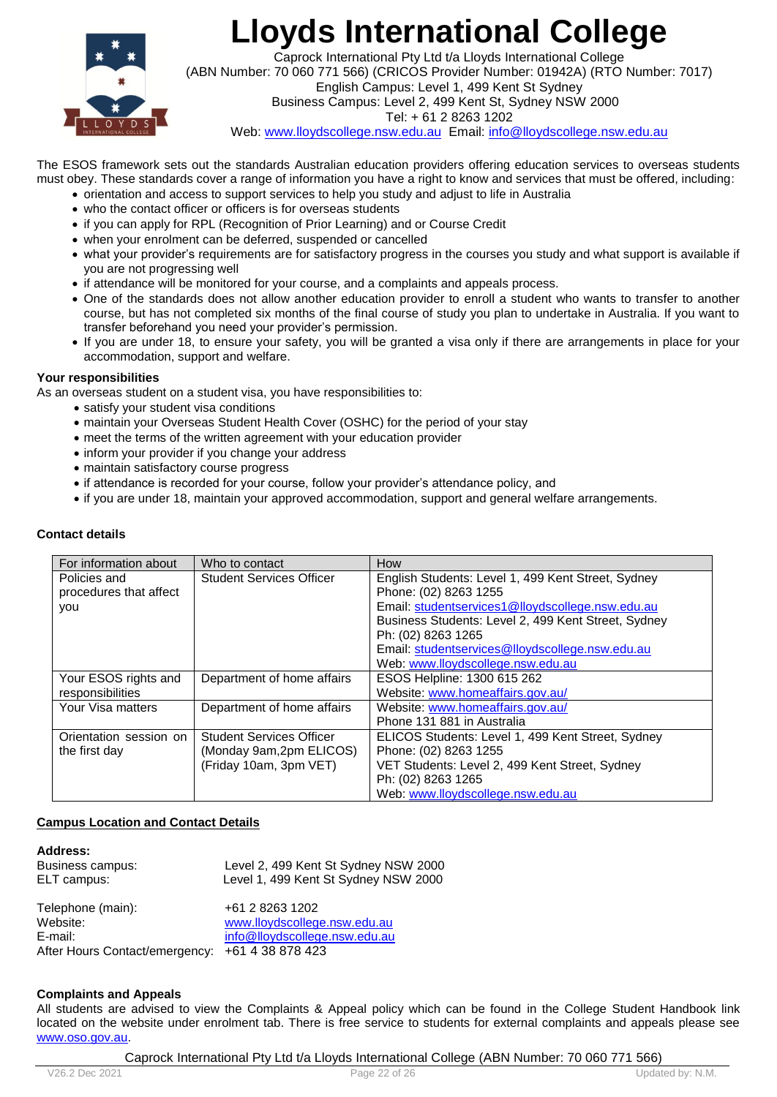

Caprock International Pty Ltd t/a Lloyds International College (ABN Number: 70 060 771 566) (CRICOS Provider Number: 01942A) (RTO Number: 7017) English Campus: Level 1, 499 Kent St Sydney Business Campus: Level 2, 499 Kent St, Sydney NSW 2000

Tel: + 61 2 8263 1202

Web: www.lloydscollege.nsw.edu.au Email: info@lloydscollege.nsw.edu.au

The ESOS framework sets out the standards Australian education providers offering education services to overseas students must obey. These standards cover a range of information you have a right to know and services that must be offered, including:

- orientation and access to support services to help you study and adjust to life in Australia
- who the contact officer or officers is for overseas students
- if you can apply for RPL (Recognition of Prior Learning) and or Course Credit
- when your enrolment can be deferred, suspended or cancelled
- what your provider's requirements are for satisfactory progress in the courses you study and what support is available if you are not progressing well
- if attendance will be monitored for your course, and a complaints and appeals process.
- One of the standards does not allow another education provider to enroll a student who wants to transfer to another course, but has not completed six months of the final course of study you plan to undertake in Australia. If you want to transfer beforehand you need your provider's permission.
- If you are under 18, to ensure your safety, you will be granted a visa only if there are arrangements in place for your accommodation, support and welfare.

#### **Your responsibilities**

As an overseas student on a student visa, you have responsibilities to:

- satisfy your student visa conditions
- maintain your Overseas Student Health Cover (OSHC) for the period of your stay
- meet the terms of the written agreement with your education provider
- inform your provider if you change your address
- maintain satisfactory course progress
- if attendance is recorded for your course, follow your provider's attendance policy, and
- if you are under 18, maintain your approved accommodation, support and general welfare arrangements.

#### **Contact details**

| For information about  | Who to contact                  | How                                                 |
|------------------------|---------------------------------|-----------------------------------------------------|
| Policies and           | <b>Student Services Officer</b> | English Students: Level 1, 499 Kent Street, Sydney  |
| procedures that affect |                                 | Phone: (02) 8263 1255                               |
| you                    |                                 | Email: studentservices1@lloydscollege.nsw.edu.au    |
|                        |                                 | Business Students: Level 2, 499 Kent Street, Sydney |
|                        |                                 | Ph: (02) 8263 1265                                  |
|                        |                                 | Email: studentservices@lloydscollege.nsw.edu.au     |
|                        |                                 | Web: www.lloydscollege.nsw.edu.au                   |
| Your ESOS rights and   | Department of home affairs      | ESOS Helpline: 1300 615 262                         |
| responsibilities       |                                 | Website: www.homeaffairs.gov.au/                    |
| Your Visa matters      | Department of home affairs      | Website: www.homeaffairs.gov.au/                    |
|                        |                                 | Phone 131 881 in Australia                          |
| Orientation session on | <b>Student Services Officer</b> | ELICOS Students: Level 1, 499 Kent Street, Sydney   |
| the first day          | (Monday 9am, 2pm ELICOS)        | Phone: (02) 8263 1255                               |
|                        | (Friday 10am, 3pm VET)          | VET Students: Level 2, 499 Kent Street, Sydney      |
|                        |                                 | Ph: (02) 8263 1265                                  |
|                        |                                 | Web: www.lloydscollege.nsw.edu.au                   |

#### **Campus Location and Contact Details**

| Address:<br>Business campus:<br>ELT campus:     | Level 2, 499 Kent St Sydney NSW 2000<br>Level 1, 499 Kent St Sydney NSW 2000 |
|-------------------------------------------------|------------------------------------------------------------------------------|
| Telephone (main):                               | +61 2 8263 1202                                                              |
| Website:                                        | www.lloydscollege.nsw.edu.au                                                 |
| E-mail:                                         | info@lloydscollege.nsw.edu.au                                                |
| After Hours Contact/emergency: +61 4 38 878 423 |                                                                              |

#### **Complaints and Appeals**

All students are advised to view the Complaints & Appeal policy which can be found in the College Student Handbook link located on the website under enrolment tab. There is free service to students for external complaints and appeals please see [www.oso.gov.au.](http://www.oso.gov.au/)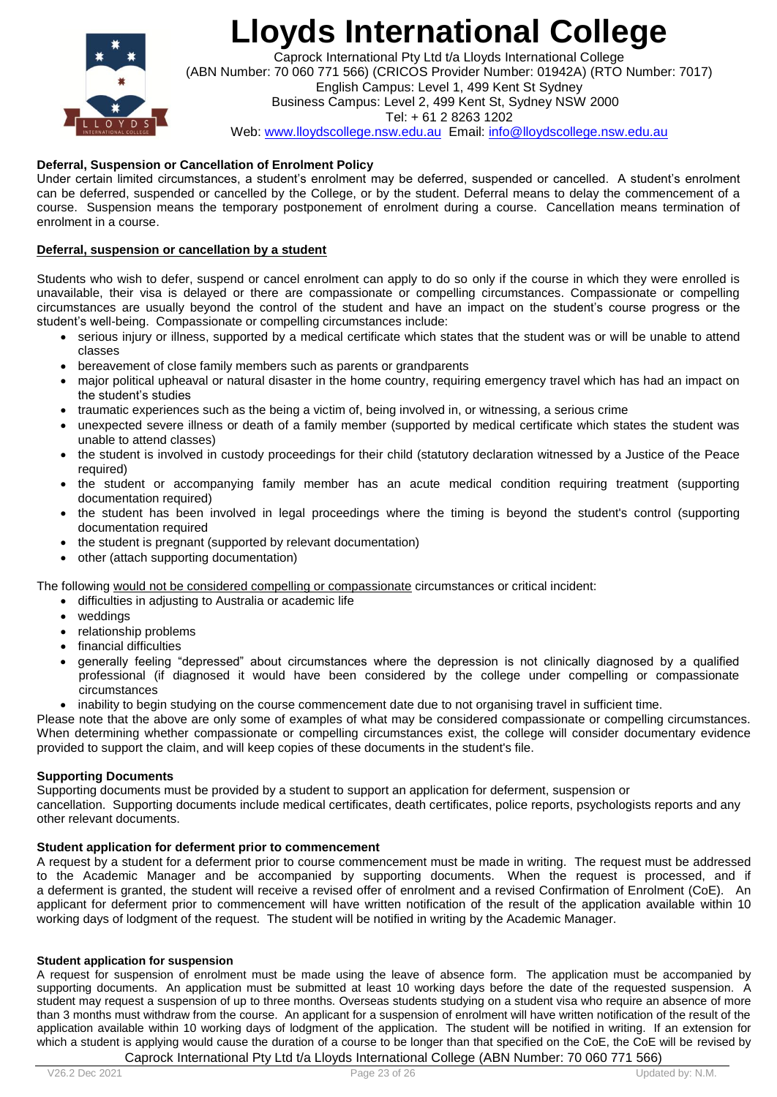

Caprock International Pty Ltd t/a Lloyds International College (ABN Number: 70 060 771 566) (CRICOS Provider Number: 01942A) (RTO Number: 7017) English Campus: Level 1, 499 Kent St Sydney Business Campus: Level 2, 499 Kent St, Sydney NSW 2000 Tel: + 61 2 8263 1202 Web: www.lloydscollege.nsw.edu.au Email: info@lloydscollege.nsw.edu.au

### **Deferral, Suspension or Cancellation of Enrolment Policy**

Under certain limited circumstances, a student's enrolment may be deferred, suspended or cancelled. A student's enrolment can be deferred, suspended or cancelled by the College, or by the student. Deferral means to delay the commencement of a course. Suspension means the temporary postponement of enrolment during a course. Cancellation means termination of enrolment in a course.

### **Deferral, suspension or cancellation by a student**

Students who wish to defer, suspend or cancel enrolment can apply to do so only if the course in which they were enrolled is unavailable, their visa is delayed or there are compassionate or compelling circumstances. Compassionate or compelling circumstances are usually beyond the control of the student and have an impact on the student's course progress or the student's well-being. Compassionate or compelling circumstances include:

- serious injury or illness, supported by a medical certificate which states that the student was or will be unable to attend classes
- bereavement of close family members such as parents or grandparents
- major political upheaval or natural disaster in the home country, requiring emergency travel which has had an impact on the student's studies
- traumatic experiences such as the being a victim of, being involved in, or witnessing, a serious crime
- unexpected severe illness or death of a family member (supported by medical certificate which states the student was unable to attend classes)
- the student is involved in custody proceedings for their child (statutory declaration witnessed by a Justice of the Peace required)
- the student or accompanying family member has an acute medical condition requiring treatment (supporting documentation required)
- the student has been involved in legal proceedings where the timing is beyond the student's control (supporting documentation required
- the student is pregnant (supported by relevant documentation)
- other (attach supporting documentation)

The following would not be considered compelling or compassionate circumstances or critical incident:

- difficulties in adjusting to Australia or academic life
- weddings
- relationship problems
- financial difficulties
- generally feeling "depressed" about circumstances where the depression is not clinically diagnosed by a qualified professional (if diagnosed it would have been considered by the college under compelling or compassionate circumstances
- inability to begin studying on the course commencement date due to not organising travel in sufficient time.

Please note that the above are only some of examples of what may be considered compassionate or compelling circumstances. When determining whether compassionate or compelling circumstances exist, the college will consider documentary evidence provided to support the claim, and will keep copies of these documents in the student's file.

#### **Supporting Documents**

Supporting documents must be provided by a student to support an application for deferment, suspension or cancellation. Supporting documents include medical certificates, death certificates, police reports, psychologists reports and any other relevant documents.

#### **Student application for deferment prior to commencement**

A request by a student for a deferment prior to course commencement must be made in writing. The request must be addressed to the Academic Manager and be accompanied by supporting documents. When the request is processed, and if a deferment is granted, the student will receive a revised offer of enrolment and a revised Confirmation of Enrolment (CoE). An applicant for deferment prior to commencement will have written notification of the result of the application available within 10 working days of lodgment of the request. The student will be notified in writing by the Academic Manager.

#### **Student application for suspension**

Caprock International Pty Ltd t/a Lloyds International College (ABN Number: 70 060 771 566) A request for suspension of enrolment must be made using the leave of absence form. The application must be accompanied by supporting documents. An application must be submitted at least 10 working days before the date of the requested suspension. A student may request a suspension of up to three months. Overseas students studying on a student visa who require an absence of more than 3 months must withdraw from the course. An applicant for a suspension of enrolment will have written notification of the result of the application available within 10 working days of lodgment of the application. The student will be notified in writing. If an extension for which a student is applying would cause the duration of a course to be longer than that specified on the CoE, the CoE will be revised by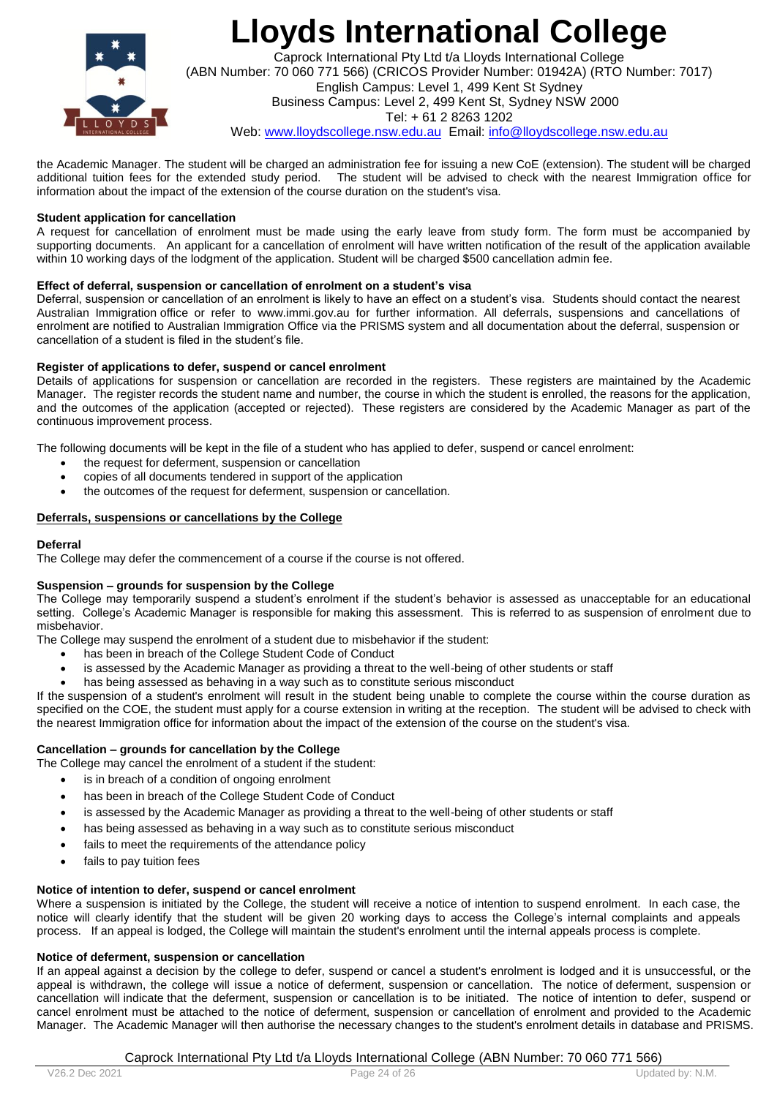

Caprock International Pty Ltd t/a Lloyds International College (ABN Number: 70 060 771 566) (CRICOS Provider Number: 01942A) (RTO Number: 7017) English Campus: Level 1, 499 Kent St Sydney Business Campus: Level 2, 499 Kent St, Sydney NSW 2000 Tel: + 61 2 8263 1202 Web: www.lloydscollege.nsw.edu.au Email: info@lloydscollege.nsw.edu.au

the Academic Manager. The student will be charged an administration fee for issuing a new CoE (extension). The student will be charged additional tuition fees for the extended study period. The student will be advised to check with the nearest Immigration office for information about the impact of the extension of the course duration on the student's visa.

#### **Student application for cancellation**

A request for cancellation of enrolment must be made using the early leave from study form. The form must be accompanied by supporting documents. An applicant for a cancellation of enrolment will have written notification of the result of the application available within 10 working days of the lodgment of the application. Student will be charged \$500 cancellation admin fee.

#### **Effect of deferral, suspension or cancellation of enrolment on a student's visa**

Deferral, suspension or cancellation of an enrolment is likely to have an effect on a student's visa. Students should contact the nearest Australian Immigration office or refer to [www.immi.gov.au](http://www.immi.gov.au/) for further information. All deferrals, suspensions and cancellations of enrolment are notified to Australian Immigration Office via the PRISMS system and all documentation about the deferral, suspension or cancellation of a student is filed in the student's file.

#### **Register of applications to defer, suspend or cancel enrolment**

Details of applications for suspension or cancellation are recorded in the registers. These registers are maintained by the Academic Manager. The register records the student name and number, the course in which the student is enrolled, the reasons for the application, and the outcomes of the application (accepted or rejected). These registers are considered by the Academic Manager as part of the continuous improvement process.

The following documents will be kept in the file of a student who has applied to defer, suspend or cancel enrolment:

- the request for deferment, suspension or cancellation
- copies of all documents tendered in support of the application
- the outcomes of the request for deferment, suspension or cancellation.

#### **Deferrals, suspensions or cancellations by the College**

#### **Deferral**

The College may defer the commencement of a course if the course is not offered.

#### **Suspension – grounds for suspension by the College**

The College may temporarily suspend a student's enrolment if the student's behavior is assessed as unacceptable for an educational setting. College's Academic Manager is responsible for making this assessment. This is referred to as suspension of enrolment due to misbehavior.

The College may suspend the enrolment of a student due to misbehavior if the student:

- has been in breach of the College Student Code of Conduct
- is assessed by the Academic Manager as providing a threat to the well-being of other students or staff
- has being assessed as behaving in a way such as to constitute serious misconduct

If the suspension of a student's enrolment will result in the student being unable to complete the course within the course duration as specified on the COE, the student must apply for a course extension in writing at the reception. The student will be advised to check with the nearest Immigration office for information about the impact of the extension of the course on the student's visa.

#### **Cancellation – grounds for cancellation by the College**

The College may cancel the enrolment of a student if the student:

- is in breach of a condition of ongoing enrolment
- has been in breach of the College Student Code of Conduct
- is assessed by the Academic Manager as providing a threat to the well-being of other students or staff
- has being assessed as behaving in a way such as to constitute serious misconduct
- fails to meet the requirements of the attendance policy
- fails to pay tuition fees

### **Notice of intention to defer, suspend or cancel enrolment**

Where a suspension is initiated by the College, the student will receive a notice of intention to suspend enrolment. In each case, the notice will clearly identify that the student will be given 20 working days to access the College's internal complaints and appeals process. If an appeal is lodged, the College will maintain the student's enrolment until the internal appeals process is complete.

### **Notice of deferment, suspension or cancellation**

If an appeal against a decision by the college to defer, suspend or cancel a student's enrolment is lodged and it is unsuccessful, or the appeal is withdrawn, the college will issue a notice of deferment, suspension or cancellation. The notice of deferment, suspension or cancellation will indicate that the deferment, suspension or cancellation is to be initiated. The notice of intention to defer, suspend or cancel enrolment must be attached to the notice of deferment, suspension or cancellation of enrolment and provided to the Academic Manager. The Academic Manager will then authorise the necessary changes to the student's enrolment details in database and PRISMS.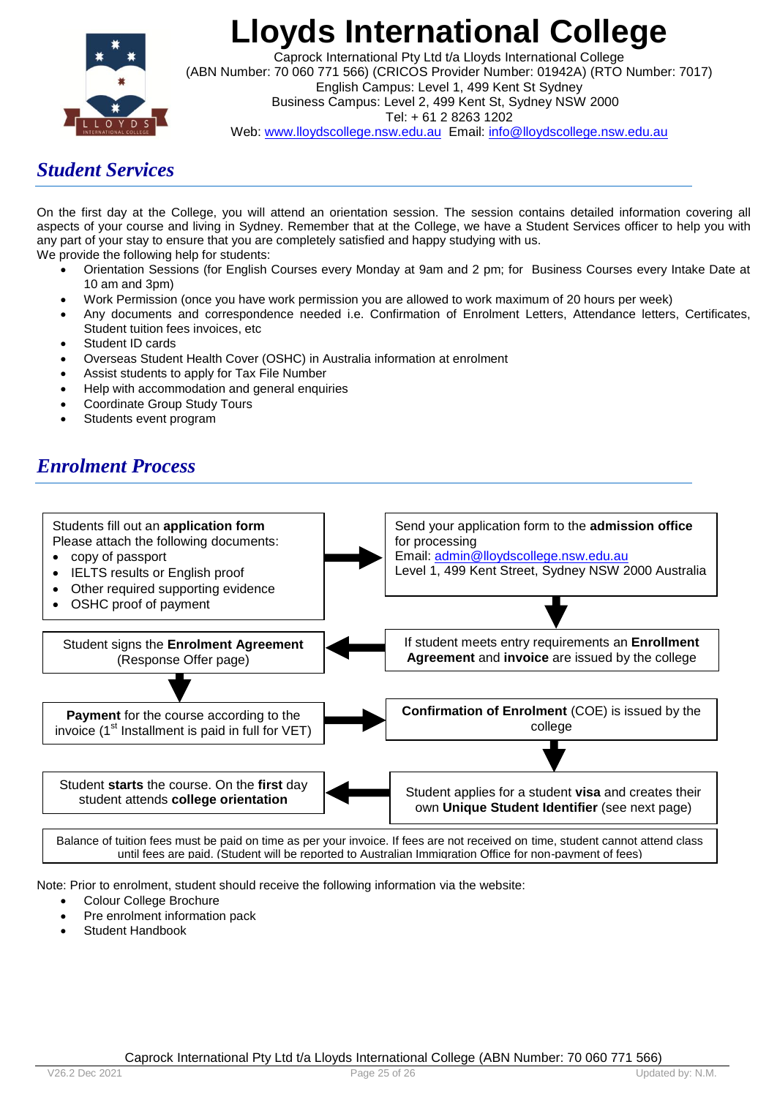

Caprock International Pty Ltd t/a Lloyds International College (ABN Number: 70 060 771 566) (CRICOS Provider Number: 01942A) (RTO Number: 7017) English Campus: Level 1, 499 Kent St Sydney Business Campus: Level 2, 499 Kent St, Sydney NSW 2000 Tel: + 61 2 8263 1202 Web: www.lloydscollege.nsw.edu.au Email: info@lloydscollege.nsw.edu.au

## *Student Services*

On the first day at the College, you will attend an orientation session. The session contains detailed information covering all aspects of your course and living in Sydney. Remember that at the College, we have a Student Services officer to help you with any part of your stay to ensure that you are completely satisfied and happy studying with us. We provide the following help for students:

- Orientation Sessions (for English Courses every Monday at 9am and 2 pm; for Business Courses every Intake Date at 10 am and 3pm)
- Work Permission (once you have work permission you are allowed to work maximum of 20 hours per week)
- Any documents and correspondence needed i.e. Confirmation of Enrolment Letters, Attendance letters, Certificates, Student tuition fees invoices, etc
- Student ID cards
- Overseas Student Health Cover (OSHC) in Australia information at enrolment
- Assist students to apply for Tax File Number
- Help with accommodation and general enquiries
- Coordinate Group Study Tours
- Students event program

## *Enrolment Process*



Balance of tuition fees must be paid on time as per your invoice. If fees are not received on time, student cannot attend class until fees are paid. (Student will be reported to Australian Immigration Office for non-payment of fees)

Note: Prior to enrolment, student should receive the following information via the website:

- Colour College Brochure
- Pre enrolment information pack
- Student Handbook